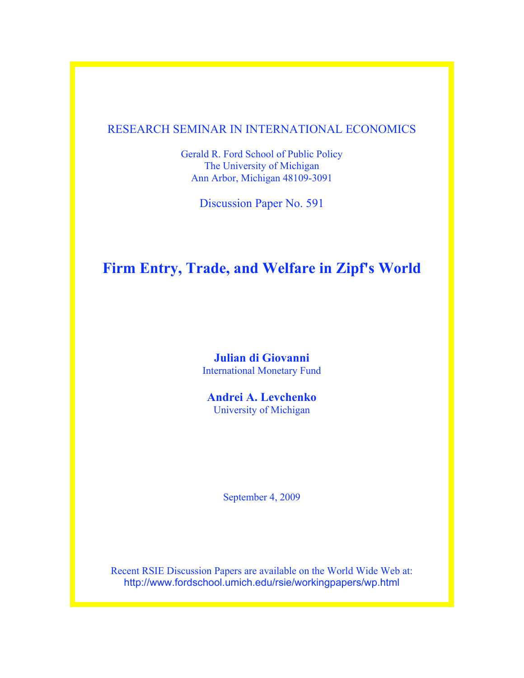# RESEARCH SEMINAR IN INTERNATIONAL ECONOMICS

Gerald R. Ford School of Public Policy The University of Michigan Ann Arbor, Michigan 48109-3091

Discussion Paper No. 591

# **Firm Entry, Trade, and Welfare in Zipf's World**

**Julian di Giovanni** International Monetary Fund

**Andrei A. Levchenko** University of Michigan

September 4, 2009

Recent RSIE Discussion Papers are available on the World Wide Web at: http://www.fordschool.umich.edu/rsie/workingpapers/wp.html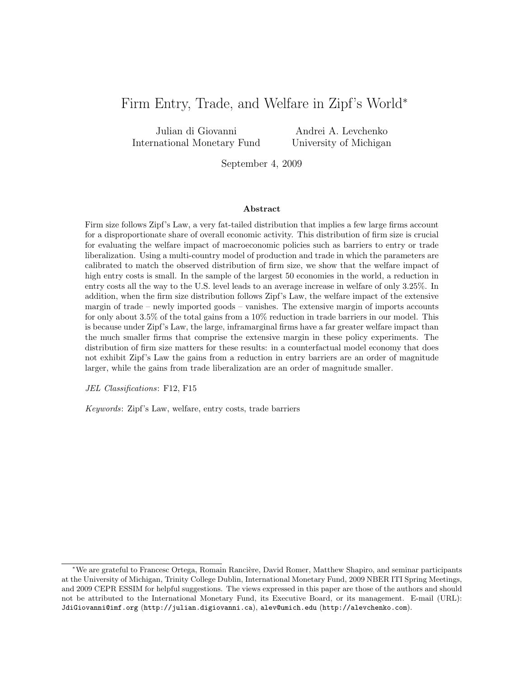# Firm Entry, Trade, and Welfare in Zipf's World<sup>∗</sup>

Julian di Giovanni International Monetary Fund

Andrei A. Levchenko University of Michigan

September 4, 2009

#### Abstract

Firm size follows Zipf's Law, a very fat-tailed distribution that implies a few large firms account for a disproportionate share of overall economic activity. This distribution of firm size is crucial for evaluating the welfare impact of macroeconomic policies such as barriers to entry or trade liberalization. Using a multi-country model of production and trade in which the parameters are calibrated to match the observed distribution of firm size, we show that the welfare impact of high entry costs is small. In the sample of the largest 50 economies in the world, a reduction in entry costs all the way to the U.S. level leads to an average increase in welfare of only 3.25%. In addition, when the firm size distribution follows Zipf's Law, the welfare impact of the extensive margin of trade – newly imported goods – vanishes. The extensive margin of imports accounts for only about 3.5% of the total gains from a 10% reduction in trade barriers in our model. This is because under Zipf's Law, the large, inframarginal firms have a far greater welfare impact than the much smaller firms that comprise the extensive margin in these policy experiments. The distribution of firm size matters for these results: in a counterfactual model economy that does not exhibit Zipf's Law the gains from a reduction in entry barriers are an order of magnitude larger, while the gains from trade liberalization are an order of magnitude smaller.

JEL Classifications: F12, F15

Keywords: Zipf's Law, welfare, entry costs, trade barriers

<sup>∗</sup>We are grateful to Francesc Ortega, Romain Ranci`ere, David Romer, Matthew Shapiro, and seminar participants at the University of Michigan, Trinity College Dublin, International Monetary Fund, 2009 NBER ITI Spring Meetings, and 2009 CEPR ESSIM for helpful suggestions. The views expressed in this paper are those of the authors and should not be attributed to the International Monetary Fund, its Executive Board, or its management. E-mail (URL): JdiGiovanni@imf.org (http://julian.digiovanni.ca), alev@umich.edu (http://alevchenko.com).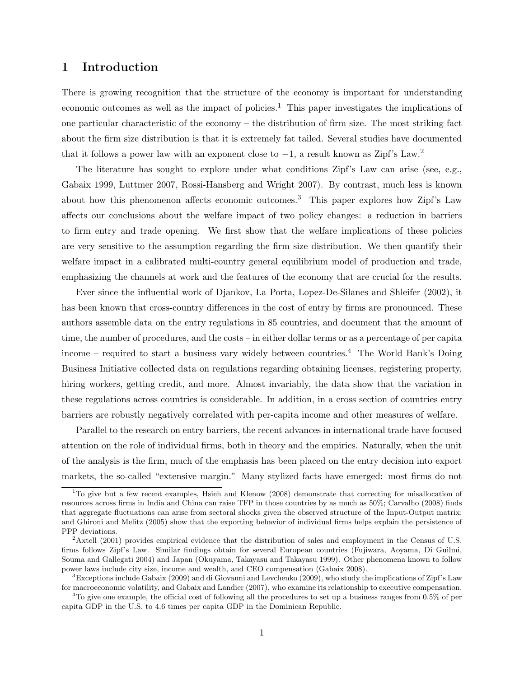### 1 Introduction

There is growing recognition that the structure of the economy is important for understanding economic outcomes as well as the impact of policies.<sup>1</sup> This paper investigates the implications of one particular characteristic of the economy – the distribution of firm size. The most striking fact about the firm size distribution is that it is extremely fat tailed. Several studies have documented that it follows a power law with an exponent close to  $-1$ , a result known as Zipf's Law.<sup>2</sup>

The literature has sought to explore under what conditions Zipf's Law can arise (see, e.g., Gabaix 1999, Luttmer 2007, Rossi-Hansberg and Wright 2007). By contrast, much less is known about how this phenomenon affects economic outcomes.<sup>3</sup> This paper explores how Zipf's Law affects our conclusions about the welfare impact of two policy changes: a reduction in barriers to firm entry and trade opening. We first show that the welfare implications of these policies are very sensitive to the assumption regarding the firm size distribution. We then quantify their welfare impact in a calibrated multi-country general equilibrium model of production and trade, emphasizing the channels at work and the features of the economy that are crucial for the results.

Ever since the influential work of Djankov, La Porta, Lopez-De-Silanes and Shleifer (2002), it has been known that cross-country differences in the cost of entry by firms are pronounced. These authors assemble data on the entry regulations in 85 countries, and document that the amount of time, the number of procedures, and the costs – in either dollar terms or as a percentage of per capita income – required to start a business vary widely between countries.<sup>4</sup> The World Bank's Doing Business Initiative collected data on regulations regarding obtaining licenses, registering property, hiring workers, getting credit, and more. Almost invariably, the data show that the variation in these regulations across countries is considerable. In addition, in a cross section of countries entry barriers are robustly negatively correlated with per-capita income and other measures of welfare.

Parallel to the research on entry barriers, the recent advances in international trade have focused attention on the role of individual firms, both in theory and the empirics. Naturally, when the unit of the analysis is the firm, much of the emphasis has been placed on the entry decision into export markets, the so-called "extensive margin." Many stylized facts have emerged: most firms do not

<sup>&</sup>lt;sup>1</sup>To give but a few recent examples, Hsieh and Klenow (2008) demonstrate that correcting for misallocation of resources across firms in India and China can raise TFP in those countries by as much as 50%; Carvalho (2008) finds that aggregate fluctuations can arise from sectoral shocks given the observed structure of the Input-Output matrix; and Ghironi and Melitz (2005) show that the exporting behavior of individual firms helps explain the persistence of PPP deviations.

<sup>&</sup>lt;sup>2</sup>Axtell (2001) provides empirical evidence that the distribution of sales and employment in the Census of U.S. firms follows Zipf's Law. Similar findings obtain for several European countries (Fujiwara, Aoyama, Di Guilmi, Souma and Gallegati 2004) and Japan (Okuyama, Takayasu and Takayasu 1999). Other phenomena known to follow power laws include city size, income and wealth, and CEO compensation (Gabaix 2008).

<sup>&</sup>lt;sup>3</sup>Exceptions include Gabaix (2009) and di Giovanni and Levchenko (2009), who study the implications of Zipf's Law for macroeconomic volatility, and Gabaix and Landier (2007), who examine its relationship to executive compensation.

<sup>4</sup>To give one example, the official cost of following all the procedures to set up a business ranges from 0.5% of per capita GDP in the U.S. to 4.6 times per capita GDP in the Dominican Republic.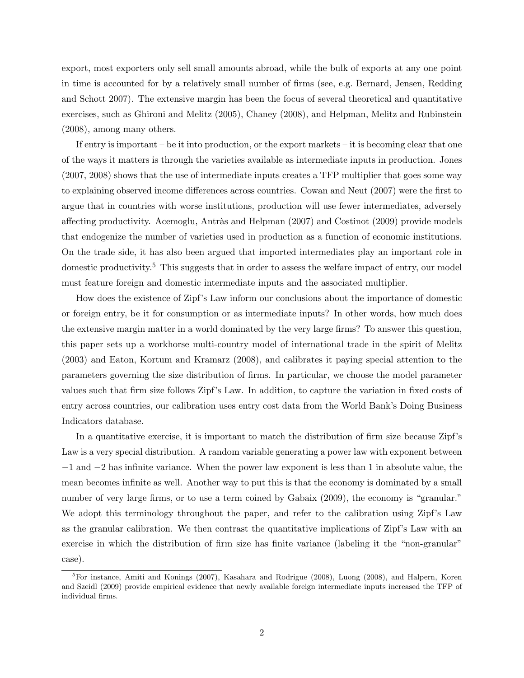export, most exporters only sell small amounts abroad, while the bulk of exports at any one point in time is accounted for by a relatively small number of firms (see, e.g. Bernard, Jensen, Redding and Schott 2007). The extensive margin has been the focus of several theoretical and quantitative exercises, such as Ghironi and Melitz (2005), Chaney (2008), and Helpman, Melitz and Rubinstein (2008), among many others.

If entry is important – be it into production, or the export markets – it is becoming clear that one of the ways it matters is through the varieties available as intermediate inputs in production. Jones (2007, 2008) shows that the use of intermediate inputs creates a TFP multiplier that goes some way to explaining observed income differences across countries. Cowan and Neut (2007) were the first to argue that in countries with worse institutions, production will use fewer intermediates, adversely affecting productivity. Acemoglu, Antràs and Helpman (2007) and Costinot (2009) provide models that endogenize the number of varieties used in production as a function of economic institutions. On the trade side, it has also been argued that imported intermediates play an important role in domestic productivity.<sup>5</sup> This suggests that in order to assess the welfare impact of entry, our model must feature foreign and domestic intermediate inputs and the associated multiplier.

How does the existence of Zipf's Law inform our conclusions about the importance of domestic or foreign entry, be it for consumption or as intermediate inputs? In other words, how much does the extensive margin matter in a world dominated by the very large firms? To answer this question, this paper sets up a workhorse multi-country model of international trade in the spirit of Melitz (2003) and Eaton, Kortum and Kramarz (2008), and calibrates it paying special attention to the parameters governing the size distribution of firms. In particular, we choose the model parameter values such that firm size follows Zipf's Law. In addition, to capture the variation in fixed costs of entry across countries, our calibration uses entry cost data from the World Bank's Doing Business Indicators database.

In a quantitative exercise, it is important to match the distribution of firm size because Zipf's Law is a very special distribution. A random variable generating a power law with exponent between −1 and −2 has infinite variance. When the power law exponent is less than 1 in absolute value, the mean becomes infinite as well. Another way to put this is that the economy is dominated by a small number of very large firms, or to use a term coined by Gabaix  $(2009)$ , the economy is "granular." We adopt this terminology throughout the paper, and refer to the calibration using Zipf's Law as the granular calibration. We then contrast the quantitative implications of Zipf's Law with an exercise in which the distribution of firm size has finite variance (labeling it the "non-granular" case).

<sup>&</sup>lt;sup>5</sup>For instance, Amiti and Konings (2007), Kasahara and Rodrigue (2008), Luong (2008), and Halpern, Koren and Szeidl (2009) provide empirical evidence that newly available foreign intermediate inputs increased the TFP of individual firms.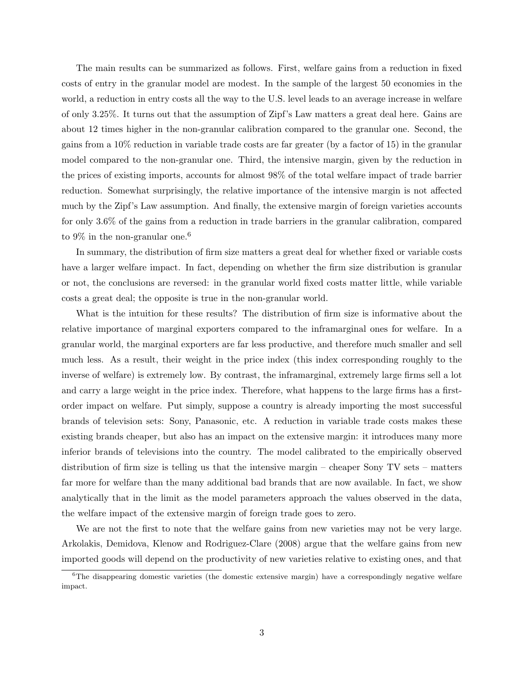The main results can be summarized as follows. First, welfare gains from a reduction in fixed costs of entry in the granular model are modest. In the sample of the largest 50 economies in the world, a reduction in entry costs all the way to the U.S. level leads to an average increase in welfare of only 3.25%. It turns out that the assumption of Zipf's Law matters a great deal here. Gains are about 12 times higher in the non-granular calibration compared to the granular one. Second, the gains from a 10% reduction in variable trade costs are far greater (by a factor of 15) in the granular model compared to the non-granular one. Third, the intensive margin, given by the reduction in the prices of existing imports, accounts for almost 98% of the total welfare impact of trade barrier reduction. Somewhat surprisingly, the relative importance of the intensive margin is not affected much by the Zipf's Law assumption. And finally, the extensive margin of foreign varieties accounts for only 3.6% of the gains from a reduction in trade barriers in the granular calibration, compared to  $9\%$  in the non-granular one.<sup>6</sup>

In summary, the distribution of firm size matters a great deal for whether fixed or variable costs have a larger welfare impact. In fact, depending on whether the firm size distribution is granular or not, the conclusions are reversed: in the granular world fixed costs matter little, while variable costs a great deal; the opposite is true in the non-granular world.

What is the intuition for these results? The distribution of firm size is informative about the relative importance of marginal exporters compared to the inframarginal ones for welfare. In a granular world, the marginal exporters are far less productive, and therefore much smaller and sell much less. As a result, their weight in the price index (this index corresponding roughly to the inverse of welfare) is extremely low. By contrast, the inframarginal, extremely large firms sell a lot and carry a large weight in the price index. Therefore, what happens to the large firms has a firstorder impact on welfare. Put simply, suppose a country is already importing the most successful brands of television sets: Sony, Panasonic, etc. A reduction in variable trade costs makes these existing brands cheaper, but also has an impact on the extensive margin: it introduces many more inferior brands of televisions into the country. The model calibrated to the empirically observed distribution of firm size is telling us that the intensive margin – cheaper Sony TV sets – matters far more for welfare than the many additional bad brands that are now available. In fact, we show analytically that in the limit as the model parameters approach the values observed in the data, the welfare impact of the extensive margin of foreign trade goes to zero.

We are not the first to note that the welfare gains from new varieties may not be very large. Arkolakis, Demidova, Klenow and Rodriguez-Clare (2008) argue that the welfare gains from new imported goods will depend on the productivity of new varieties relative to existing ones, and that

 ${}^{6}$ The disappearing domestic varieties (the domestic extensive margin) have a correspondingly negative welfare impact.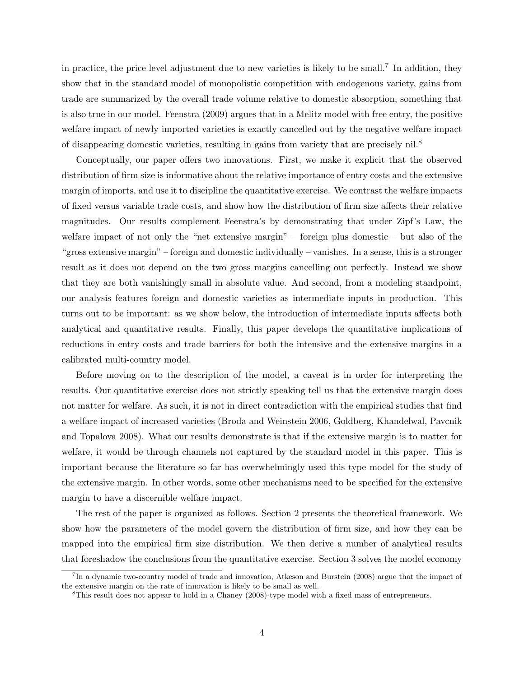in practice, the price level adjustment due to new varieties is likely to be small.<sup>7</sup> In addition, they show that in the standard model of monopolistic competition with endogenous variety, gains from trade are summarized by the overall trade volume relative to domestic absorption, something that is also true in our model. Feenstra (2009) argues that in a Melitz model with free entry, the positive welfare impact of newly imported varieties is exactly cancelled out by the negative welfare impact of disappearing domestic varieties, resulting in gains from variety that are precisely nil.<sup>8</sup>

Conceptually, our paper offers two innovations. First, we make it explicit that the observed distribution of firm size is informative about the relative importance of entry costs and the extensive margin of imports, and use it to discipline the quantitative exercise. We contrast the welfare impacts of fixed versus variable trade costs, and show how the distribution of firm size affects their relative magnitudes. Our results complement Feenstra's by demonstrating that under Zipf's Law, the welfare impact of not only the "net extensive margin" – foreign plus domestic – but also of the "gross extensive margin" – foreign and domestic individually – vanishes. In a sense, this is a stronger result as it does not depend on the two gross margins cancelling out perfectly. Instead we show that they are both vanishingly small in absolute value. And second, from a modeling standpoint, our analysis features foreign and domestic varieties as intermediate inputs in production. This turns out to be important: as we show below, the introduction of intermediate inputs affects both analytical and quantitative results. Finally, this paper develops the quantitative implications of reductions in entry costs and trade barriers for both the intensive and the extensive margins in a calibrated multi-country model.

Before moving on to the description of the model, a caveat is in order for interpreting the results. Our quantitative exercise does not strictly speaking tell us that the extensive margin does not matter for welfare. As such, it is not in direct contradiction with the empirical studies that find a welfare impact of increased varieties (Broda and Weinstein 2006, Goldberg, Khandelwal, Pavcnik and Topalova 2008). What our results demonstrate is that if the extensive margin is to matter for welfare, it would be through channels not captured by the standard model in this paper. This is important because the literature so far has overwhelmingly used this type model for the study of the extensive margin. In other words, some other mechanisms need to be specified for the extensive margin to have a discernible welfare impact.

The rest of the paper is organized as follows. Section 2 presents the theoretical framework. We show how the parameters of the model govern the distribution of firm size, and how they can be mapped into the empirical firm size distribution. We then derive a number of analytical results that foreshadow the conclusions from the quantitative exercise. Section 3 solves the model economy

<sup>&</sup>lt;sup>7</sup>In a dynamic two-country model of trade and innovation, Atkeson and Burstein (2008) argue that the impact of the extensive margin on the rate of innovation is likely to be small as well.

<sup>&</sup>lt;sup>8</sup>This result does not appear to hold in a Chaney (2008)-type model with a fixed mass of entrepreneurs.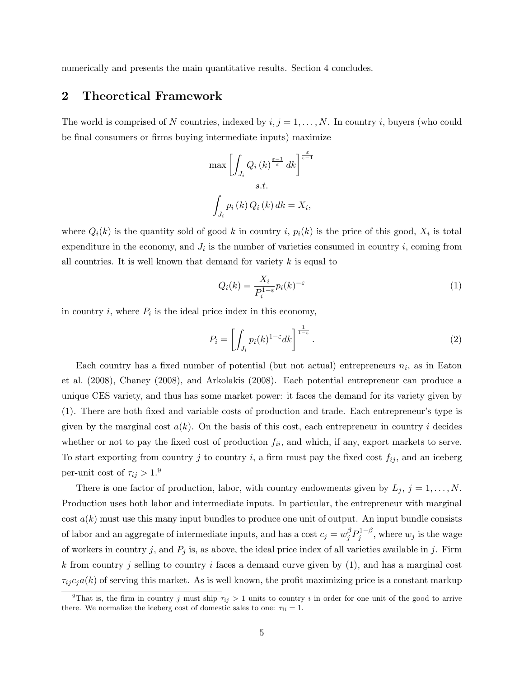numerically and presents the main quantitative results. Section 4 concludes.

### 2 Theoretical Framework

The world is comprised of N countries, indexed by  $i, j = 1, \ldots, N$ . In country i, buyers (who could be final consumers or firms buying intermediate inputs) maximize

$$
\max \left[ \int_{J_i} Q_i(k)^{\frac{\varepsilon - 1}{\varepsilon}} dk \right]^{\frac{\varepsilon}{\varepsilon - 1}}
$$
  
s.t.  

$$
\int_{J_i} p_i(k) Q_i(k) dk = X_i,
$$

where  $Q_i(k)$  is the quantity sold of good k in country i,  $p_i(k)$  is the price of this good,  $X_i$  is total expenditure in the economy, and  $J_i$  is the number of varieties consumed in country i, coming from all countries. It is well known that demand for variety  $k$  is equal to

$$
Q_i(k) = \frac{X_i}{P_i^{1-\varepsilon}} p_i(k)^{-\varepsilon}
$$
\n(1)

in country  $i$ , where  $P_i$  is the ideal price index in this economy,

$$
P_i = \left[ \int_{J_i} p_i(k)^{1-\varepsilon} dk \right]^{\frac{1}{1-\varepsilon}}.
$$
\n(2)

Each country has a fixed number of potential (but not actual) entrepreneurs  $n_i$ , as in Eaton et al. (2008), Chaney (2008), and Arkolakis (2008). Each potential entrepreneur can produce a unique CES variety, and thus has some market power: it faces the demand for its variety given by (1). There are both fixed and variable costs of production and trade. Each entrepreneur's type is given by the marginal cost  $a(k)$ . On the basis of this cost, each entrepreneur in country i decides whether or not to pay the fixed cost of production  $f_{ii}$ , and which, if any, export markets to serve. To start exporting from country j to country i, a firm must pay the fixed cost  $f_{ij}$ , and an iceberg per-unit cost of  $\tau_{ij} > 1.9$ 

There is one factor of production, labor, with country endowments given by  $L_j$ ,  $j = 1, \ldots, N$ . Production uses both labor and intermediate inputs. In particular, the entrepreneur with marginal  $\cot a(k)$  must use this many input bundles to produce one unit of output. An input bundle consists of labor and an aggregate of intermediate inputs, and has a cost  $c_j = w_j^{\beta} P_j^{1-\beta}$  $y_j^{1-\beta}$ , where  $w_j$  is the wage of workers in country j, and  $P_j$  is, as above, the ideal price index of all varieties available in j. Firm k from country j selling to country i faces a demand curve given by  $(1)$ , and has a marginal cost  $\tau_{ij}c_ja(k)$  of serving this market. As is well known, the profit maximizing price is a constant markup

<sup>&</sup>lt;sup>9</sup>That is, the firm in country j must ship  $\tau_{ij} > 1$  units to country i in order for one unit of the good to arrive there. We normalize the iceberg cost of domestic sales to one:  $\tau_{ii} = 1$ .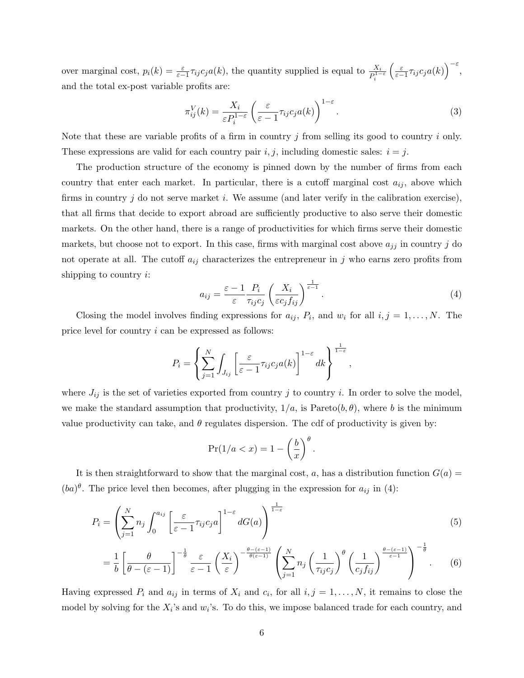over marginal cost,  $p_i(k) = \frac{\varepsilon}{\varepsilon - 1} \tau_{ij} c_j a(k)$ , the quantity supplied is equal to  $\frac{X_i}{P_i^{1-\varepsilon}}$  $\left(\frac{\varepsilon}{\varepsilon-1}\tau_{ij}c_ja(k)\right)^{-\varepsilon},$ and the total ex-post variable profits are:

$$
\pi_{ij}^V(k) = \frac{X_i}{\varepsilon P_i^{1-\varepsilon}} \left( \frac{\varepsilon}{\varepsilon - 1} \tau_{ij} c_j a(k) \right)^{1-\varepsilon}.
$$
\n(3)

Note that these are variable profits of a firm in country  $j$  from selling its good to country  $i$  only. These expressions are valid for each country pair  $i, j$ , including domestic sales:  $i = j$ .

The production structure of the economy is pinned down by the number of firms from each country that enter each market. In particular, there is a cutoff marginal cost  $a_{ij}$ , above which firms in country j do not serve market i. We assume (and later verify in the calibration exercise), that all firms that decide to export abroad are sufficiently productive to also serve their domestic markets. On the other hand, there is a range of productivities for which firms serve their domestic markets, but choose not to export. In this case, firms with marginal cost above  $a_{jj}$  in country j do not operate at all. The cutoff  $a_{ij}$  characterizes the entrepreneur in j who earns zero profits from shipping to country  $i$ :

$$
a_{ij} = \frac{\varepsilon - 1}{\varepsilon} \frac{P_i}{\tau_{ij} c_j} \left( \frac{X_i}{\varepsilon c_j f_{ij}} \right)^{\frac{1}{\varepsilon - 1}}.
$$
\n(4)

.

Closing the model involves finding expressions for  $a_{ij}$ ,  $P_i$ , and  $w_i$  for all  $i, j = 1, ..., N$ . The price level for country i can be expressed as follows:

$$
P_i = \left\{ \sum_{j=1}^N \int_{J_{ij}} \left[ \frac{\varepsilon}{\varepsilon - 1} \tau_{ij} c_j a(k) \right]^{1-\varepsilon} dk \right\}^{\frac{1}{1-\varepsilon}},
$$

where  $J_{ij}$  is the set of varieties exported from country j to country i. In order to solve the model, we make the standard assumption that productivity,  $1/a$ , is Pareto $(b, \theta)$ , where b is the minimum value productivity can take, and  $\theta$  regulates dispersion. The cdf of productivity is given by:

$$
\Pr(1/a < x) = 1 - \left(\frac{b}{x}\right)^{\theta}
$$

It is then straightforward to show that the marginal cost, a, has a distribution function  $G(a)$  $(ba)^{\theta}$ . The price level then becomes, after plugging in the expression for  $a_{ij}$  in (4):

$$
P_i = \left(\sum_{j=1}^N n_j \int_0^{a_{ij}} \left[\frac{\varepsilon}{\varepsilon - 1} \tau_{ij} c_j a\right]^{1-\varepsilon} dG(a)\right)^{\frac{1}{1-\varepsilon}}
$$
(5)

$$
= \frac{1}{b} \left[ \frac{\theta}{\theta - (\varepsilon - 1)} \right]^{-\frac{1}{\theta}} \frac{\varepsilon}{\varepsilon - 1} \left( \frac{X_i}{\varepsilon} \right)^{-\frac{\theta - (\varepsilon - 1)}{\theta(\varepsilon - 1)}} \left( \sum_{j=1}^N n_j \left( \frac{1}{\tau_{ij} c_j} \right)^{\theta} \left( \frac{1}{c_j f_{ij}} \right)^{\frac{\theta - (\varepsilon - 1)}{\varepsilon - 1}} \right)^{-\frac{1}{\theta}}.
$$
 (6)

Having expressed  $P_i$  and  $a_{ij}$  in terms of  $X_i$  and  $c_i$ , for all  $i, j = 1, \ldots, N$ , it remains to close the model by solving for the  $X_i$ 's and  $w_i$ 's. To do this, we impose balanced trade for each country, and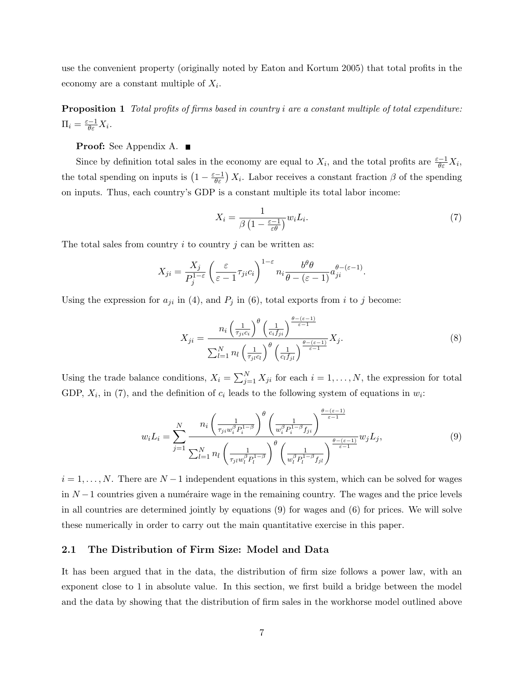use the convenient property (originally noted by Eaton and Kortum 2005) that total profits in the economy are a constant multiple of  $X_i$ .

Proposition 1 Total profits of firms based in country i are a constant multiple of total expenditure:  $\Pi_i = \frac{\varepsilon - 1}{\theta \varepsilon} X_i.$ 

### **Proof:** See Appendix A. ■

Since by definition total sales in the economy are equal to  $X_i$ , and the total profits are  $\frac{\varepsilon-1}{\theta \varepsilon} X_i$ , the total spending on inputs is  $(1 - \frac{\varepsilon - 1}{\theta \varepsilon}) X_i$ . Labor receives a constant fraction  $\beta$  of the spending on inputs. Thus, each country's GDP is a constant multiple its total labor income:

$$
X_i = \frac{1}{\beta \left(1 - \frac{\varepsilon - 1}{\varepsilon \theta}\right)} w_i L_i. \tag{7}
$$

The total sales from country  $i$  to country  $j$  can be written as:

$$
X_{ji} = \frac{X_j}{P_j^{1-\varepsilon}} \left( \frac{\varepsilon}{\varepsilon - 1} \tau_{ji} c_i \right)^{1-\varepsilon} n_i \frac{b^\theta \theta}{\theta - (\varepsilon - 1)} a_{ji}^{\theta - (\varepsilon - 1)}.
$$

Using the expression for  $a_{ji}$  in (4), and  $P_j$  in (6), total exports from i to j become:

$$
X_{ji} = \frac{n_i \left(\frac{1}{\tau_{ji} c_i}\right)^{\theta} \left(\frac{1}{c_i f_{ji}}\right)^{\frac{\theta - (\varepsilon - 1)}{\varepsilon - 1}}}{\sum_{l=1}^{N} n_l \left(\frac{1}{\tau_{jl} c_l}\right)^{\theta} \left(\frac{1}{c_l f_{jl}}\right)^{\frac{\theta - (\varepsilon - 1)}{\varepsilon - 1}} X_j}.
$$
\n
$$
(8)
$$

Using the trade balance conditions,  $X_i = \sum_{j=1}^{N} X_{ji}$  for each  $i = 1, ..., N$ , the expression for total GDP,  $X_i$ , in (7), and the definition of  $c_i$  leads to the following system of equations in  $w_i$ :

$$
w_i L_i = \sum_{j=1}^{N} \frac{n_i \left(\frac{1}{\tau_{ji} w_i^{\beta} P_i^{1-\beta}}\right)^{\theta} \left(\frac{1}{w_i^{\beta} P_i^{1-\beta} f_{ji}}\right)^{\frac{\theta-(\varepsilon-1)}{\varepsilon-1}}}{\sum_{l=1}^{N} n_l \left(\frac{1}{\tau_{jl} w_l^{\beta} P_l^{1-\beta}}\right)^{\theta} \left(\frac{1}{w_l^{\beta} P_l^{1-\beta} f_{jl}}\right)^{\frac{\theta-(\varepsilon-1)}{\varepsilon-1}} w_j L_j},\tag{9}
$$

 $i = 1, \ldots, N$ . There are  $N - 1$  independent equations in this system, which can be solved for wages in  $N-1$  countries given a numéraire wage in the remaining country. The wages and the price levels in all countries are determined jointly by equations (9) for wages and (6) for prices. We will solve these numerically in order to carry out the main quantitative exercise in this paper.

#### 2.1 The Distribution of Firm Size: Model and Data

It has been argued that in the data, the distribution of firm size follows a power law, with an exponent close to 1 in absolute value. In this section, we first build a bridge between the model and the data by showing that the distribution of firm sales in the workhorse model outlined above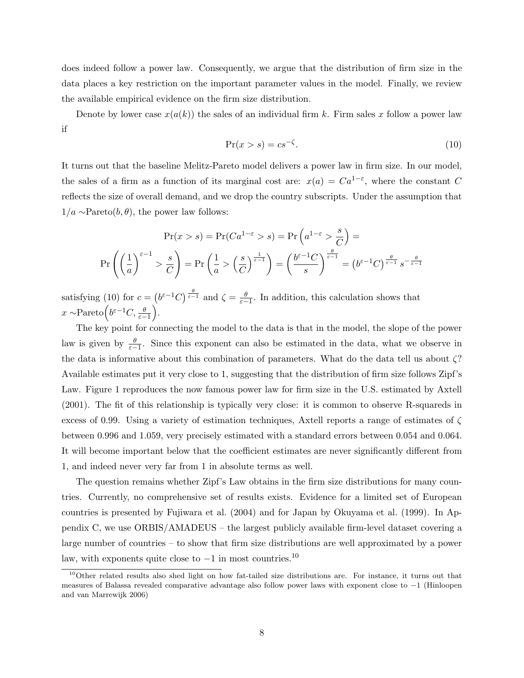does indeed follow a power law. Consequently, we argue that the distribution of firm size in the data places a key restriction on the important parameter values in the model. Finally, we review the available empirical evidence on the firm size distribution.

Denote by lower case  $x(a(k))$  the sales of an individual firm k. Firm sales x follow a power law if

$$
\Pr(x > s) = cs^{-\zeta}.\tag{10}
$$

It turns out that the baseline Melitz-Pareto model delivers a power law in firm size. In our model, the sales of a firm as a function of its marginal cost are:  $x(a) = Ca^{1-\epsilon}$ , where the constant C reflects the size of overall demand, and we drop the country subscripts. Under the assumption that  $1/a \sim \text{Pareto}(b, \theta)$ , the power law follows:

$$
\Pr(x > s) = \Pr(Ca^{1-\varepsilon} > s) = \Pr\left(a^{1-\varepsilon} > \frac{s}{C}\right) =
$$
\n
$$
\Pr\left(\left(\frac{1}{a}\right)^{\varepsilon-1} > \frac{s}{C}\right) = \Pr\left(\frac{1}{a} > \left(\frac{s}{C}\right)^{\frac{1}{\varepsilon-1}}\right) = \left(\frac{b^{\varepsilon-1}C}{s}\right)^{\frac{\theta}{\varepsilon-1}} = \left(b^{\varepsilon-1}C\right)^{\frac{\theta}{\varepsilon-1}} s^{-\frac{\theta}{\varepsilon-1}}
$$

satisfying (10) for  $c = (b^{\varepsilon-1}C)^{\frac{\theta}{\varepsilon-1}}$  and  $\zeta = \frac{\theta}{\varepsilon-1}$ . In addition, this calculation shows that  $x \sim \text{Pareto}(\overline{b^{\varepsilon-1}}C, \frac{\theta}{\varepsilon-1}).$ 

The key point for connecting the model to the data is that in the model, the slope of the power law is given by  $\frac{\theta}{\varepsilon-1}$ . Since this exponent can also be estimated in the data, what we observe in the data is informative about this combination of parameters. What do the data tell us about ζ? Available estimates put it very close to 1, suggesting that the distribution of firm size follows Zipf's Law. Figure 1 reproduces the now famous power law for firm size in the U.S. estimated by Axtell (2001). The fit of this relationship is typically very close: it is common to observe R-squareds in excess of 0.99. Using a variety of estimation techniques, Axtell reports a range of estimates of  $\zeta$ between 0.996 and 1.059, very precisely estimated with a standard errors between 0.054 and 0.064. It will become important below that the coefficient estimates are never significantly different from 1, and indeed never very far from 1 in absolute terms as well.

The question remains whether Zipf's Law obtains in the firm size distributions for many countries. Currently, no comprehensive set of results exists. Evidence for a limited set of European countries is presented by Fujiwara et al. (2004) and for Japan by Okuyama et al. (1999). In Appendix C, we use ORBIS/AMADEUS – the largest publicly available firm-level dataset covering a large number of countries – to show that firm size distributions are well approximated by a power law, with exponents quite close to  $-1$  in most countries.<sup>10</sup>

 $10$ Other related results also shed light on how fat-tailed size distributions are. For instance, it turns out that measures of Balassa revealed comparative advantage also follow power laws with exponent close to −1 (Hinloopen and van Marrewijk 2006)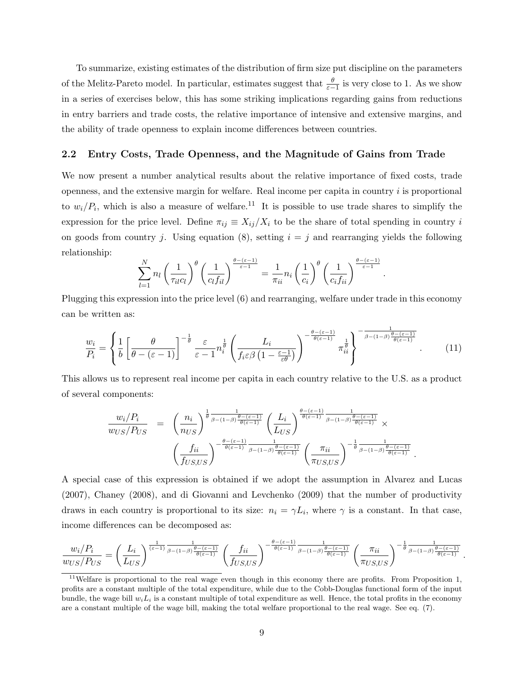To summarize, existing estimates of the distribution of firm size put discipline on the parameters of the Melitz-Pareto model. In particular, estimates suggest that  $\frac{\theta}{\varepsilon-1}$  is very close to 1. As we show in a series of exercises below, this has some striking implications regarding gains from reductions in entry barriers and trade costs, the relative importance of intensive and extensive margins, and the ability of trade openness to explain income differences between countries.

#### 2.2 Entry Costs, Trade Openness, and the Magnitude of Gains from Trade

We now present a number analytical results about the relative importance of fixed costs, trade openness, and the extensive margin for welfare. Real income per capita in country  $i$  is proportional to  $w_i/P_i$ , which is also a measure of welfare.<sup>11</sup> It is possible to use trade shares to simplify the expression for the price level. Define  $\pi_{ij} \equiv X_{ij}/X_i$  to be the share of total spending in country i on goods from country j. Using equation (8), setting  $i = j$  and rearranging yields the following relationship:

$$
\sum_{l=1}^N n_l \left(\frac{1}{\tau_{il}c_l}\right)^{\theta} \left(\frac{1}{c_l f_{il}}\right)^{\frac{\theta-(\varepsilon-1)}{\varepsilon-1}} = \frac{1}{\pi_{ii}} n_i \left(\frac{1}{c_i}\right)^{\theta} \left(\frac{1}{c_i f_{ii}}\right)^{\frac{\theta-(\varepsilon-1)}{\varepsilon-1}}.
$$

Plugging this expression into the price level (6) and rearranging, welfare under trade in this economy can be written as:

$$
\frac{w_i}{P_i} = \left\{ \frac{1}{b} \left[ \frac{\theta}{\theta - (\varepsilon - 1)} \right]^{-\frac{1}{\theta}} \frac{\varepsilon}{\varepsilon - 1} n_i^{\frac{1}{\theta}} \left( \frac{L_i}{f_i \varepsilon \beta \left( 1 - \frac{\varepsilon - 1}{\varepsilon \theta} \right)} \right)^{-\frac{\theta - (\varepsilon - 1)}{\theta(\varepsilon - 1)}} \pi_{ii}^{\frac{1}{\theta}} \right\}^{-\frac{1}{\beta - (1 - \beta)} \frac{\theta - (\varepsilon - 1)}{\theta(\varepsilon - 1)}}.
$$
(11)

This allows us to represent real income per capita in each country relative to the U.S. as a product of several components:

$$
\frac{w_i/P_i}{w_{US}/P_{US}} = \left(\frac{n_i}{n_{US}}\right)^{\frac{1}{\theta} \frac{1}{\beta - (1-\beta)\frac{\theta - (\varepsilon - 1)}{\theta(\varepsilon - 1)}}} \left(\frac{L_i}{L_{US}}\right)^{\frac{\theta - (\varepsilon - 1)}{\theta(\varepsilon - 1)}} \frac{1}{\beta - (1-\beta)\frac{\theta - (\varepsilon - 1)}{\theta(\varepsilon - 1)}} \times \left(\frac{f_{ii}}{f_{US,US}}\right)^{-\frac{\theta - (\varepsilon - 1)}{\theta(\varepsilon - 1)}} \frac{1}{\beta - (1-\beta)\frac{\theta - (\varepsilon - 1)}{\theta(\varepsilon - 1)}} \left(\frac{\pi_{ii}}{\pi_{US,US}}\right)^{-\frac{1}{\theta} \frac{1}{\beta - (1-\beta)\frac{\theta - (\varepsilon - 1)}{\theta(\varepsilon - 1)}}}
$$

.

.

A special case of this expression is obtained if we adopt the assumption in Alvarez and Lucas (2007), Chaney (2008), and di Giovanni and Levchenko (2009) that the number of productivity draws in each country is proportional to its size:  $n_i = \gamma L_i$ , where  $\gamma$  is a constant. In that case, income differences can be decomposed as:

$$
\frac{w_i/P_i}{w_{US}/P_{US}} = \left(\frac{L_i}{L_{US}}\right)^{\frac{1}{(\varepsilon-1)}\frac{1}{\beta-(1-\beta)\frac{\theta-(\varepsilon-1)}{\theta(\varepsilon-1)}}} \left(\frac{f_{ii}}{f_{US,US}}\right)^{-\frac{\theta-(\varepsilon-1)}{\theta(\varepsilon-1)}\frac{1}{\beta-(1-\beta)\frac{\theta-(\varepsilon-1)}{\theta(\varepsilon-1)}}} \left(\frac{\pi_{ii}}{\pi_{US,US}}\right)^{-\frac{1}{\theta}\frac{1}{\beta-(1-\beta)\frac{\theta-(\varepsilon-1)}{\theta(\varepsilon-1)}}}
$$

 $11$ Welfare is proportional to the real wage even though in this economy there are profits. From Proposition 1, profits are a constant multiple of the total expenditure, while due to the Cobb-Douglas functional form of the input bundle, the wage bill  $w_i L_i$  is a constant multiple of total expenditure as well. Hence, the total profits in the economy are a constant multiple of the wage bill, making the total welfare proportional to the real wage. See eq. (7).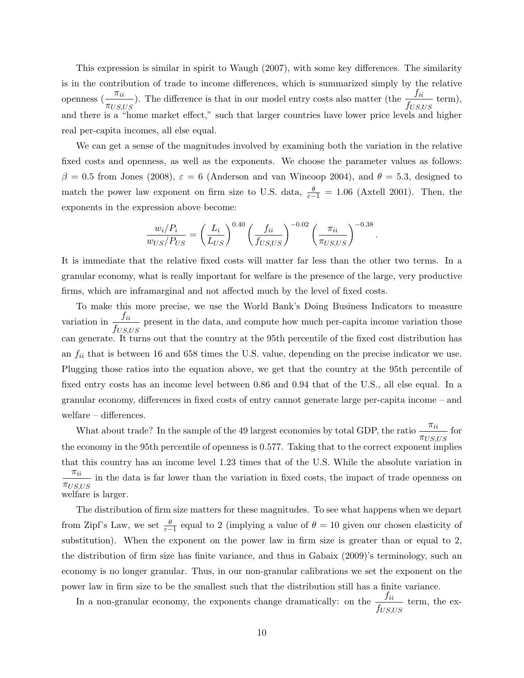This expression is similar in spirit to Waugh (2007), with some key differences. The similarity is in the contribution of trade to income differences, which is summarized simply by the relative openness  $\left( -\frac{\pi_{ii}}{\pi_{ii}} \right)$  $\pi_{US,US}$ ). The difference is that in our model entry costs also matter (the  $\frac{f_{ii}}{f_{ii}}$  $\frac{Ju}{f_{US,US}}$  term), and there is a "home market effect," such that larger countries have lower price levels and higher real per-capita incomes, all else equal.

We can get a sense of the magnitudes involved by examining both the variation in the relative fixed costs and openness, as well as the exponents. We choose the parameter values as follows: β = 0.5 from Jones (2008),  $\varepsilon = 6$  (Anderson and van Wincoop 2004), and  $\theta = 5.3$ , designed to match the power law exponent on firm size to U.S. data,  $\frac{\theta}{\varepsilon-1} = 1.06$  (Axtell 2001). Then, the exponents in the expression above become:

$$
\frac{w_i/P_i}{w_{US}/P_{US}} = \left(\frac{L_i}{L_{US}}\right)^{0.40} \left(\frac{f_{ii}}{f_{US,US}}\right)^{-0.02} \left(\frac{\pi_{ii}}{\pi_{US,US}}\right)^{-0.38}.
$$

It is immediate that the relative fixed costs will matter far less than the other two terms. In a granular economy, what is really important for welfare is the presence of the large, very productive firms, which are inframarginal and not affected much by the level of fixed costs.

To make this more precise, we use the World Bank's Doing Business Indicators to measure variation in  $\frac{f_{ii}}{f_{ii}}$  $\frac{Ju}{f_{US,US}}$  present in the data, and compute how much per-capita income variation those can generate. It turns out that the country at the 95th percentile of the fixed cost distribution has an  $f_{ii}$  that is between 16 and 658 times the U.S. value, depending on the precise indicator we use. Plugging those ratios into the equation above, we get that the country at the 95th percentile of fixed entry costs has an income level between 0.86 and 0.94 that of the U.S., all else equal. In a granular economy, differences in fixed costs of entry cannot generate large per-capita income – and welfare – differences.

What about trade? In the sample of the 49 largest economies by total GDP, the ratio  $-\frac{\pi_{ii}}{i}$  $\frac{m}{\pi_{US, US}}$  for the economy in the 95th percentile of openness is 0.577. Taking that to the correct exponent implies that this country has an income level 1.23 times that of the U.S. While the absolute variation in  $\pi_{ii}$  $\frac{m}{\pi_{US,US}}$  in the data is far lower than the variation in fixed costs, the impact of trade openness on welfare is larger.

The distribution of firm size matters for these magnitudes. To see what happens when we depart from Zipf's Law, we set  $\frac{\theta}{\varepsilon-1}$  equal to 2 (implying a value of  $\theta = 10$  given our chosen elasticity of substitution). When the exponent on the power law in firm size is greater than or equal to 2, the distribution of firm size has finite variance, and thus in Gabaix (2009)'s terminology, such an economy is no longer granular. Thus, in our non-granular calibrations we set the exponent on the power law in firm size to be the smallest such that the distribution still has a finite variance.

In a non-granular economy, the exponents change dramatically: on the  $\frac{f_{ii}}{f_{ii}}$  $\frac{Ju}{f_{US,US}}$  term, the ex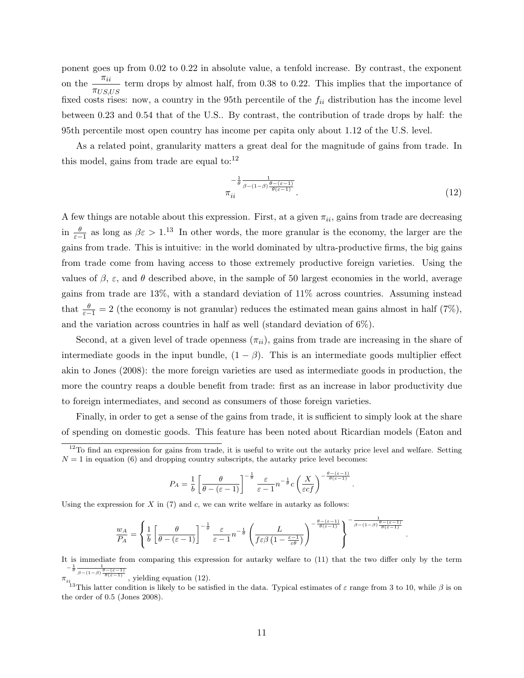ponent goes up from 0.02 to 0.22 in absolute value, a tenfold increase. By contrast, the exponent on the  $\frac{\pi_{ii}}{i}$  $\frac{m}{\pi_{US,US}}$  term drops by almost half, from 0.38 to 0.22. This implies that the importance of fixed costs rises: now, a country in the 95th percentile of the  $f_{ii}$  distribution has the income level between 0.23 and 0.54 that of the U.S.. By contrast, the contribution of trade drops by half: the 95th percentile most open country has income per capita only about 1.12 of the U.S. level.

As a related point, granularity matters a great deal for the magnitude of gains from trade. In this model, gains from trade are equal to: $^{12}$ 

$$
\frac{-\frac{1}{\theta} \frac{1}{\beta - (1-\beta) \frac{\theta - (\varepsilon - 1)}{\theta(\varepsilon - 1)}}}{\pi_{ii}}.
$$
\n(12)

.

.

A few things are notable about this expression. First, at a given  $\pi_{ii}$ , gains from trade are decreasing in  $\frac{\theta}{\varepsilon-1}$  as long as  $\beta\varepsilon > 1$ .<sup>13</sup> In other words, the more granular is the economy, the larger are the gains from trade. This is intuitive: in the world dominated by ultra-productive firms, the big gains from trade come from having access to those extremely productive foreign varieties. Using the values of  $\beta$ ,  $\varepsilon$ , and  $\theta$  described above, in the sample of 50 largest economies in the world, average gains from trade are 13%, with a standard deviation of 11% across countries. Assuming instead that  $\frac{\theta}{\varepsilon-1} = 2$  (the economy is not granular) reduces the estimated mean gains almost in half (7%), and the variation across countries in half as well (standard deviation of  $6\%$ ).

Second, at a given level of trade openness  $(\pi_{ii})$ , gains from trade are increasing in the share of intermediate goods in the input bundle,  $(1 - \beta)$ . This is an intermediate goods multiplier effect akin to Jones (2008): the more foreign varieties are used as intermediate goods in production, the more the country reaps a double benefit from trade: first as an increase in labor productivity due to foreign intermediates, and second as consumers of those foreign varieties.

Finally, in order to get a sense of the gains from trade, it is sufficient to simply look at the share of spending on domestic goods. This feature has been noted about Ricardian models (Eaton and

$$
P_A = \frac{1}{b} \left[ \frac{\theta}{\theta - (\varepsilon - 1)} \right]^{-\frac{1}{\theta}} \frac{\varepsilon}{\varepsilon - 1} n^{-\frac{1}{\theta}} c \left( \frac{X}{\varepsilon c f} \right)^{-\frac{\theta - (\varepsilon - 1)}{\theta(\varepsilon - 1)}}
$$

Using the expression for  $X$  in  $(7)$  and  $c$ , we can write welfare in autarky as follows:

$$
\frac{w_A}{P_A} = \left\{ \frac{1}{b} \left[ \frac{\theta}{\theta - (\varepsilon - 1)} \right]^{-\frac{1}{\theta}} \frac{\varepsilon}{\varepsilon - 1} n^{-\frac{1}{\theta}} \left( \frac{L}{f \varepsilon \beta \left( 1 - \frac{\varepsilon - 1}{\varepsilon \theta} \right)} \right)^{-\frac{\theta - (\varepsilon - 1)}{\theta(\varepsilon - 1)}} \right\}^{-\frac{1}{\beta - (1 - \beta)} \frac{\theta - (\varepsilon - 1)}{\theta(\varepsilon - 1)}}
$$

It is immediate from comparing this expression for autarky welfare to (11) that the two differ only by the term  $-\frac{1}{\theta} \frac{1}{\beta - (1-\beta) \frac{\theta - (\varepsilon - 1)}{\theta(\varepsilon - 1)}}$ , yielding equation (12).

π

<sup>13</sup>This latter condition is likely to be satisfied in the data. Typical estimates of  $\varepsilon$  range from 3 to 10, while  $\beta$  is on the order of 0.5 (Jones 2008).

 $12$ To find an expression for gains from trade, it is useful to write out the autarky price level and welfare. Setting  $N = 1$  in equation (6) and dropping country subscripts, the autarky price level becomes: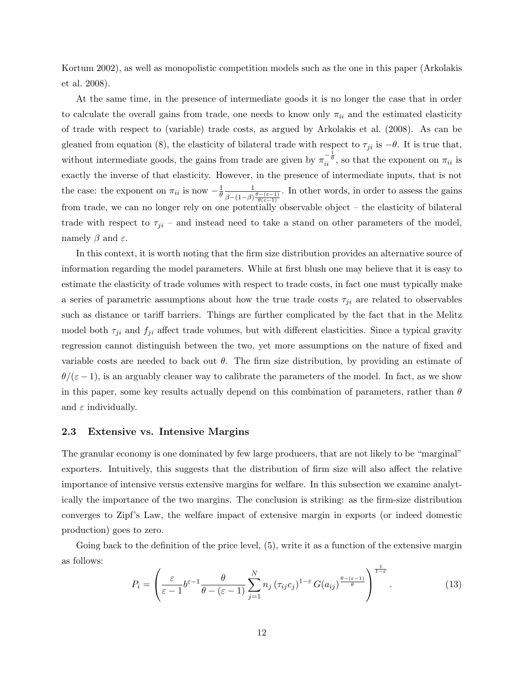Kortum 2002), as well as monopolistic competition models such as the one in this paper (Arkolakis et al. 2008).

At the same time, in the presence of intermediate goods it is no longer the case that in order to calculate the overall gains from trade, one needs to know only  $\pi_{ii}$  and the estimated elasticity of trade with respect to (variable) trade costs, as argued by Arkolakis et al. (2008). As can be gleaned from equation (8), the elasticity of bilateral trade with respect to  $\tau_{ji}$  is  $-\theta$ . It is true that, without intermediate goods, the gains from trade are given by  $\pi_{ii}^{-\frac{1}{\theta}}$ , so that the exponent on  $\pi_{ii}$  is exactly the inverse of that elasticity. However, in the presence of intermediate inputs, that is not the case: the exponent on  $\pi_{ii}$  is now  $-\frac{1}{\theta}$ θ 1  $\beta-(1-\beta)\frac{\theta-(\varepsilon-1)}{\theta(\varepsilon-1)}$ . In other words, in order to assess the gains from trade, we can no longer rely on one potentially observable object – the elasticity of bilateral trade with respect to  $\tau_{ji}$  – and instead need to take a stand on other parameters of the model, namely  $\beta$  and  $\varepsilon$ .

In this context, it is worth noting that the firm size distribution provides an alternative source of information regarding the model parameters. While at first blush one may believe that it is easy to estimate the elasticity of trade volumes with respect to trade costs, in fact one must typically make a series of parametric assumptions about how the true trade costs  $\tau_{ji}$  are related to observables such as distance or tariff barriers. Things are further complicated by the fact that in the Melitz model both  $\tau_{ji}$  and  $f_{ji}$  affect trade volumes, but with different elasticities. Since a typical gravity regression cannot distinguish between the two, yet more assumptions on the nature of fixed and variable costs are needed to back out  $\theta$ . The firm size distribution, by providing an estimate of  $\theta/(\epsilon-1)$ , is an arguably cleaner way to calibrate the parameters of the model. In fact, as we show in this paper, some key results actually depend on this combination of parameters, rather than  $\theta$ and  $\varepsilon$  individually.

#### 2.3 Extensive vs. Intensive Margins

The granular economy is one dominated by few large producers, that are not likely to be "marginal" exporters. Intuitively, this suggests that the distribution of firm size will also affect the relative importance of intensive versus extensive margins for welfare. In this subsection we examine analytically the importance of the two margins. The conclusion is striking: as the firm-size distribution converges to Zipf's Law, the welfare impact of extensive margin in exports (or indeed domestic production) goes to zero.

Going back to the definition of the price level,  $(5)$ , write it as a function of the extensive margin as follows: 1

$$
P_i = \left(\frac{\varepsilon}{\varepsilon - 1} b^{\varepsilon - 1} \frac{\theta}{\theta - (\varepsilon - 1)} \sum_{j=1}^N n_j \left(\tau_{ij} c_j\right)^{1-\varepsilon} G(a_{ij})^{\frac{\theta - (\varepsilon - 1)}{\theta}}\right)^{\frac{1}{1-\varepsilon}}.
$$
(13)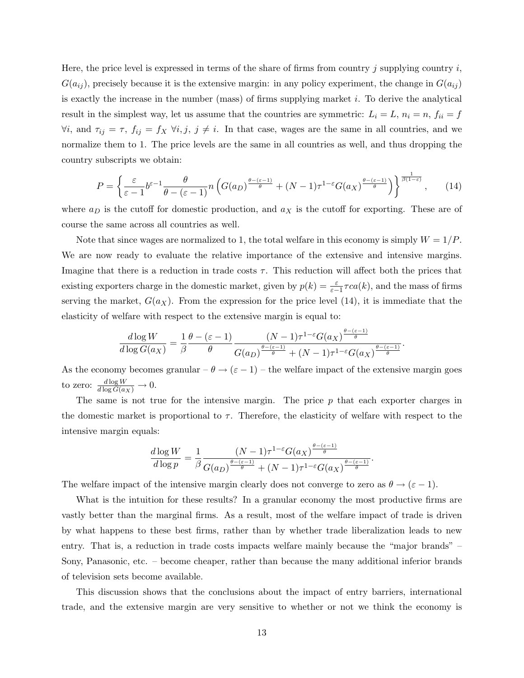Here, the price level is expressed in terms of the share of firms from country j supplying country  $i$ ,  $G(a_{ij})$ , precisely because it is the extensive margin: in any policy experiment, the change in  $G(a_{ij})$ is exactly the increase in the number (mass) of firms supplying market  $i$ . To derive the analytical result in the simplest way, let us assume that the countries are symmetric:  $L_i = L$ ,  $n_i = n$ ,  $f_{ii} = f$  $\forall i$ , and  $\tau_{ij} = \tau$ ,  $f_{ij} = f_X \ \forall i, j, j \neq i$ . In that case, wages are the same in all countries, and we normalize them to 1. The price levels are the same in all countries as well, and thus dropping the country subscripts we obtain:

$$
P = \left\{ \frac{\varepsilon}{\varepsilon - 1} b^{\varepsilon - 1} \frac{\theta}{\theta - (\varepsilon - 1)} n \left( G(a_D)^{\frac{\theta - (\varepsilon - 1)}{\theta}} + (N - 1) \tau^{1 - \varepsilon} G(a_X)^{\frac{\theta - (\varepsilon - 1)}{\theta}} \right) \right\}^{\frac{1}{\beta(1 - \varepsilon)}},\qquad(14)
$$

where  $a_D$  is the cutoff for domestic production, and  $a_X$  is the cutoff for exporting. These are of course the same across all countries as well.

Note that since wages are normalized to 1, the total welfare in this economy is simply  $W = 1/P$ . We are now ready to evaluate the relative importance of the extensive and intensive margins. Imagine that there is a reduction in trade costs  $\tau$ . This reduction will affect both the prices that existing exporters charge in the domestic market, given by  $p(k) = \frac{\varepsilon}{\varepsilon - 1} \tau ca(k)$ , and the mass of firms serving the market,  $G(a_X)$ . From the expression for the price level (14), it is immediate that the elasticity of welfare with respect to the extensive margin is equal to:

$$
\frac{d \log W}{d \log G(a_X)} = \frac{1}{\beta} \frac{\theta - (\varepsilon - 1)}{\theta} \frac{(N - 1)\tau^{1 - \varepsilon} G(a_X)^{\frac{\theta - (\varepsilon - 1)}{\theta}}}{G(a_D)^{\frac{\theta - (\varepsilon - 1)}{\theta}} + (N - 1)\tau^{1 - \varepsilon} G(a_X)^{\frac{\theta - (\varepsilon - 1)}{\theta}}}
$$

.

.

As the economy becomes granular –  $\theta \to (\varepsilon - 1)$  – the welfare impact of the extensive margin goes to zero:  $\frac{d \log W}{d \log G(a_X)} \to 0$ .

The same is not true for the intensive margin. The price  $p$  that each exporter charges in the domestic market is proportional to  $\tau$ . Therefore, the elasticity of welfare with respect to the intensive margin equals:

$$
\frac{d \log W}{d \log p} = \frac{1}{\beta} \frac{(N-1)\tau^{1-\varepsilon}G(a_X)^{\frac{\theta-(\varepsilon-1)}{\theta}}}{G(a_D)^{\frac{\theta-(\varepsilon-1)}{\theta}} + (N-1)\tau^{1-\varepsilon}G(a_X)^{\frac{\theta-(\varepsilon-1)}{\theta}}}
$$

The welfare impact of the intensive margin clearly does not converge to zero as  $\theta \to (\varepsilon - 1)$ .

What is the intuition for these results? In a granular economy the most productive firms are vastly better than the marginal firms. As a result, most of the welfare impact of trade is driven by what happens to these best firms, rather than by whether trade liberalization leads to new entry. That is, a reduction in trade costs impacts welfare mainly because the "major brands" – Sony, Panasonic, etc. – become cheaper, rather than because the many additional inferior brands of television sets become available.

This discussion shows that the conclusions about the impact of entry barriers, international trade, and the extensive margin are very sensitive to whether or not we think the economy is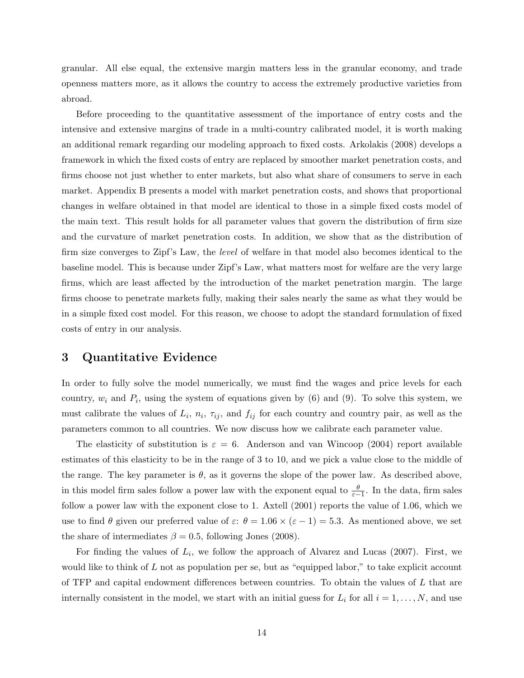granular. All else equal, the extensive margin matters less in the granular economy, and trade openness matters more, as it allows the country to access the extremely productive varieties from abroad.

Before proceeding to the quantitative assessment of the importance of entry costs and the intensive and extensive margins of trade in a multi-country calibrated model, it is worth making an additional remark regarding our modeling approach to fixed costs. Arkolakis (2008) develops a framework in which the fixed costs of entry are replaced by smoother market penetration costs, and firms choose not just whether to enter markets, but also what share of consumers to serve in each market. Appendix B presents a model with market penetration costs, and shows that proportional changes in welfare obtained in that model are identical to those in a simple fixed costs model of the main text. This result holds for all parameter values that govern the distribution of firm size and the curvature of market penetration costs. In addition, we show that as the distribution of firm size converges to Zipf's Law, the level of welfare in that model also becomes identical to the baseline model. This is because under Zipf's Law, what matters most for welfare are the very large firms, which are least affected by the introduction of the market penetration margin. The large firms choose to penetrate markets fully, making their sales nearly the same as what they would be in a simple fixed cost model. For this reason, we choose to adopt the standard formulation of fixed costs of entry in our analysis.

## 3 Quantitative Evidence

In order to fully solve the model numerically, we must find the wages and price levels for each country,  $w_i$  and  $P_i$ , using the system of equations given by (6) and (9). To solve this system, we must calibrate the values of  $L_i$ ,  $n_i$ ,  $\tau_{ij}$ , and  $f_{ij}$  for each country and country pair, as well as the parameters common to all countries. We now discuss how we calibrate each parameter value.

The elasticity of substitution is  $\varepsilon = 6$ . Anderson and van Wincoop (2004) report available estimates of this elasticity to be in the range of 3 to 10, and we pick a value close to the middle of the range. The key parameter is  $\theta$ , as it governs the slope of the power law. As described above, in this model firm sales follow a power law with the exponent equal to  $\frac{\theta}{\varepsilon-1}$ . In the data, firm sales follow a power law with the exponent close to 1. Axtell (2001) reports the value of 1.06, which we use to find  $\theta$  given our preferred value of  $\varepsilon$ :  $\theta = 1.06 \times (\varepsilon - 1) = 5.3$ . As mentioned above, we set the share of intermediates  $\beta = 0.5$ , following Jones (2008).

For finding the values of  $L_i$ , we follow the approach of Alvarez and Lucas (2007). First, we would like to think of  $L$  not as population per se, but as "equipped labor," to take explicit account of TFP and capital endowment differences between countries. To obtain the values of L that are internally consistent in the model, we start with an initial guess for  $L_i$  for all  $i = 1, ..., N$ , and use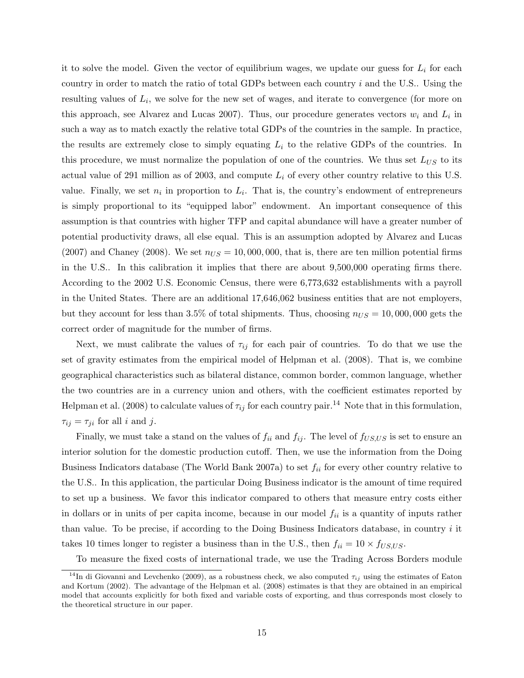it to solve the model. Given the vector of equilibrium wages, we update our guess for  $L_i$  for each country in order to match the ratio of total GDPs between each country  $i$  and the U.S.. Using the resulting values of  $L_i$ , we solve for the new set of wages, and iterate to convergence (for more on this approach, see Alvarez and Lucas 2007). Thus, our procedure generates vectors  $w_i$  and  $L_i$  in such a way as to match exactly the relative total GDPs of the countries in the sample. In practice, the results are extremely close to simply equating  $L_i$  to the relative GDPs of the countries. In this procedure, we must normalize the population of one of the countries. We thus set  $L_{US}$  to its actual value of 291 million as of 2003, and compute  $L_i$  of every other country relative to this U.S. value. Finally, we set  $n_i$  in proportion to  $L_i$ . That is, the country's endowment of entrepreneurs is simply proportional to its "equipped labor" endowment. An important consequence of this assumption is that countries with higher TFP and capital abundance will have a greater number of potential productivity draws, all else equal. This is an assumption adopted by Alvarez and Lucas (2007) and Chaney (2008). We set  $n_{US} = 10,000,000$ , that is, there are ten million potential firms in the U.S.. In this calibration it implies that there are about 9,500,000 operating firms there. According to the 2002 U.S. Economic Census, there were 6,773,632 establishments with a payroll in the United States. There are an additional 17,646,062 business entities that are not employers, but they account for less than 3.5% of total shipments. Thus, choosing  $n_{US} = 10,000,000$  gets the correct order of magnitude for the number of firms.

Next, we must calibrate the values of  $\tau_{ij}$  for each pair of countries. To do that we use the set of gravity estimates from the empirical model of Helpman et al. (2008). That is, we combine geographical characteristics such as bilateral distance, common border, common language, whether the two countries are in a currency union and others, with the coefficient estimates reported by Helpman et al. (2008) to calculate values of  $\tau_{ij}$  for each country pair.<sup>14</sup> Note that in this formulation,  $\tau_{ij} = \tau_{ji}$  for all i and j.

Finally, we must take a stand on the values of  $f_{ii}$  and  $f_{ij}$ . The level of  $f_{US,US}$  is set to ensure an interior solution for the domestic production cutoff. Then, we use the information from the Doing Business Indicators database (The World Bank 2007a) to set  $f_{ii}$  for every other country relative to the U.S.. In this application, the particular Doing Business indicator is the amount of time required to set up a business. We favor this indicator compared to others that measure entry costs either in dollars or in units of per capita income, because in our model  $f_{ii}$  is a quantity of inputs rather than value. To be precise, if according to the Doing Business Indicators database, in country  $i$  it takes 10 times longer to register a business than in the U.S., then  $f_{ii} = 10 \times f_{US, US}$ .

To measure the fixed costs of international trade, we use the Trading Across Borders module

<sup>&</sup>lt;sup>14</sup>In di Giovanni and Levchenko (2009), as a robustness check, we also computed  $\tau_{ij}$  using the estimates of Eaton and Kortum (2002). The advantage of the Helpman et al. (2008) estimates is that they are obtained in an empirical model that accounts explicitly for both fixed and variable costs of exporting, and thus corresponds most closely to the theoretical structure in our paper.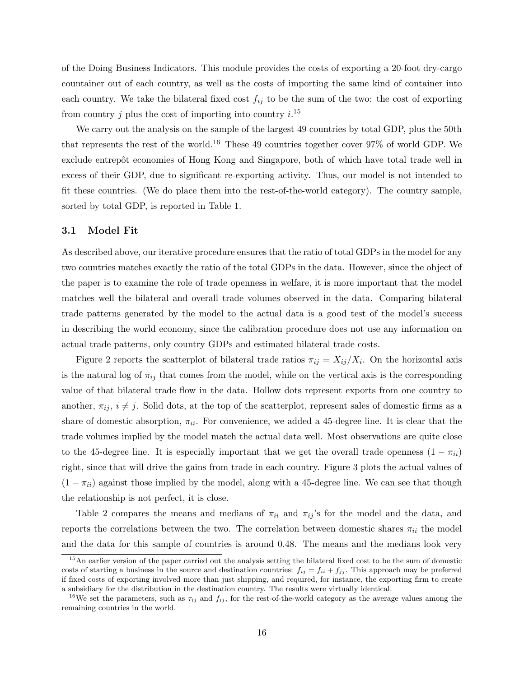of the Doing Business Indicators. This module provides the costs of exporting a 20-foot dry-cargo countainer out of each country, as well as the costs of importing the same kind of container into each country. We take the bilateral fixed cost  $f_{ij}$  to be the sum of the two: the cost of exporting from country j plus the cost of importing into country  $i^{15}$ 

We carry out the analysis on the sample of the largest 49 countries by total GDP, plus the 50th that represents the rest of the world.<sup>16</sup> These 49 countries together cover  $97\%$  of world GDP. We exclude entrepôt economies of Hong Kong and Singapore, both of which have total trade well in excess of their GDP, due to significant re-exporting activity. Thus, our model is not intended to fit these countries. (We do place them into the rest-of-the-world category). The country sample, sorted by total GDP, is reported in Table 1.

### 3.1 Model Fit

As described above, our iterative procedure ensures that the ratio of total GDPs in the model for any two countries matches exactly the ratio of the total GDPs in the data. However, since the object of the paper is to examine the role of trade openness in welfare, it is more important that the model matches well the bilateral and overall trade volumes observed in the data. Comparing bilateral trade patterns generated by the model to the actual data is a good test of the model's success in describing the world economy, since the calibration procedure does not use any information on actual trade patterns, only country GDPs and estimated bilateral trade costs.

Figure 2 reports the scatterplot of bilateral trade ratios  $\pi_{ij} = X_{ij}/X_i$ . On the horizontal axis is the natural log of  $\pi_{ij}$  that comes from the model, while on the vertical axis is the corresponding value of that bilateral trade flow in the data. Hollow dots represent exports from one country to another,  $\pi_{ij}$ ,  $i \neq j$ . Solid dots, at the top of the scatterplot, represent sales of domestic firms as a share of domestic absorption,  $\pi_{ii}$ . For convenience, we added a 45-degree line. It is clear that the trade volumes implied by the model match the actual data well. Most observations are quite close to the 45-degree line. It is especially important that we get the overall trade openness  $(1 - \pi_{ii})$ right, since that will drive the gains from trade in each country. Figure 3 plots the actual values of  $(1 - \pi_{ii})$  against those implied by the model, along with a 45-degree line. We can see that though the relationship is not perfect, it is close.

Table 2 compares the means and medians of  $\pi_{ii}$  and  $\pi_{ij}$ 's for the model and the data, and reports the correlations between the two. The correlation between domestic shares  $\pi_{ii}$  the model and the data for this sample of countries is around 0.48. The means and the medians look very

<sup>&</sup>lt;sup>15</sup>An earlier version of the paper carried out the analysis setting the bilateral fixed cost to be the sum of domestic costs of starting a business in the source and destination countries:  $f_{ij} = f_{ii} + f_{jj}$ . This approach may be preferred if fixed costs of exporting involved more than just shipping, and required, for instance, the exporting firm to create a subsidiary for the distribution in the destination country. The results were virtually identical.

<sup>&</sup>lt;sup>16</sup>We set the parameters, such as  $\tau_{ij}$  and  $f_{ij}$ , for the rest-of-the-world category as the average values among the remaining countries in the world.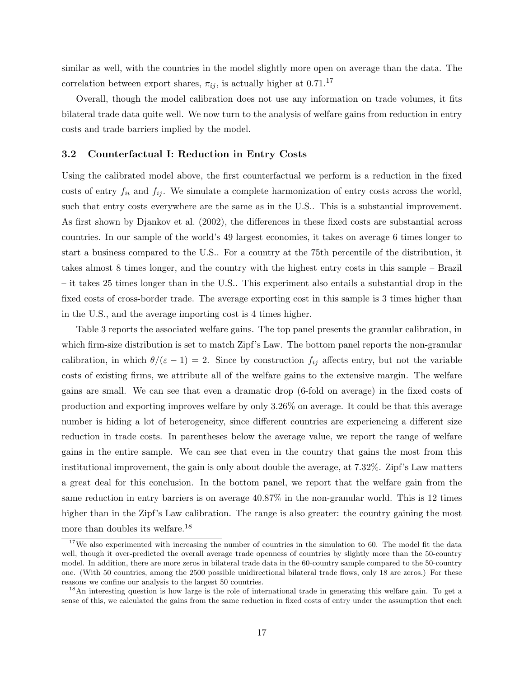similar as well, with the countries in the model slightly more open on average than the data. The correlation between export shares,  $\pi_{ij}$ , is actually higher at 0.71.<sup>17</sup>

Overall, though the model calibration does not use any information on trade volumes, it fits bilateral trade data quite well. We now turn to the analysis of welfare gains from reduction in entry costs and trade barriers implied by the model.

### 3.2 Counterfactual I: Reduction in Entry Costs

Using the calibrated model above, the first counterfactual we perform is a reduction in the fixed costs of entry  $f_{ii}$  and  $f_{ij}$ . We simulate a complete harmonization of entry costs across the world, such that entry costs everywhere are the same as in the U.S.. This is a substantial improvement. As first shown by Djankov et al. (2002), the differences in these fixed costs are substantial across countries. In our sample of the world's 49 largest economies, it takes on average 6 times longer to start a business compared to the U.S.. For a country at the 75th percentile of the distribution, it takes almost 8 times longer, and the country with the highest entry costs in this sample – Brazil – it takes 25 times longer than in the U.S.. This experiment also entails a substantial drop in the fixed costs of cross-border trade. The average exporting cost in this sample is 3 times higher than in the U.S., and the average importing cost is 4 times higher.

Table 3 reports the associated welfare gains. The top panel presents the granular calibration, in which firm-size distribution is set to match Zipf's Law. The bottom panel reports the non-granular calibration, in which  $\theta/(\varepsilon - 1) = 2$ . Since by construction  $f_{ij}$  affects entry, but not the variable costs of existing firms, we attribute all of the welfare gains to the extensive margin. The welfare gains are small. We can see that even a dramatic drop (6-fold on average) in the fixed costs of production and exporting improves welfare by only 3.26% on average. It could be that this average number is hiding a lot of heterogeneity, since different countries are experiencing a different size reduction in trade costs. In parentheses below the average value, we report the range of welfare gains in the entire sample. We can see that even in the country that gains the most from this institutional improvement, the gain is only about double the average, at 7.32%. Zipf's Law matters a great deal for this conclusion. In the bottom panel, we report that the welfare gain from the same reduction in entry barriers is on average 40.87% in the non-granular world. This is 12 times higher than in the Zipf's Law calibration. The range is also greater: the country gaining the most more than doubles its welfare.<sup>18</sup>

<sup>&</sup>lt;sup>17</sup>We also experimented with increasing the number of countries in the simulation to 60. The model fit the data well, though it over-predicted the overall average trade openness of countries by slightly more than the 50-country model. In addition, there are more zeros in bilateral trade data in the 60-country sample compared to the 50-country one. (With 50 countries, among the 2500 possible unidirectional bilateral trade flows, only 18 are zeros.) For these reasons we confine our analysis to the largest 50 countries.

<sup>&</sup>lt;sup>18</sup>An interesting question is how large is the role of international trade in generating this welfare gain. To get a sense of this, we calculated the gains from the same reduction in fixed costs of entry under the assumption that each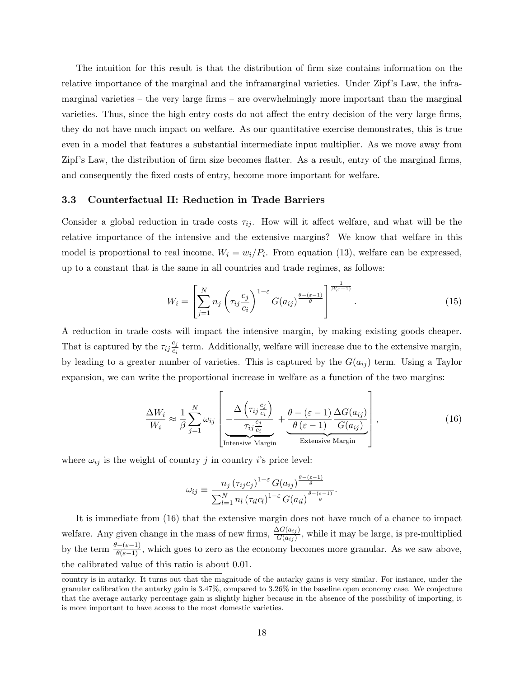The intuition for this result is that the distribution of firm size contains information on the relative importance of the marginal and the inframarginal varieties. Under Zipf's Law, the inframarginal varieties – the very large firms – are overwhelmingly more important than the marginal varieties. Thus, since the high entry costs do not affect the entry decision of the very large firms, they do not have much impact on welfare. As our quantitative exercise demonstrates, this is true even in a model that features a substantial intermediate input multiplier. As we move away from Zipf's Law, the distribution of firm size becomes flatter. As a result, entry of the marginal firms, and consequently the fixed costs of entry, become more important for welfare.

#### 3.3 Counterfactual II: Reduction in Trade Barriers

Consider a global reduction in trade costs  $\tau_{ij}$ . How will it affect welfare, and what will be the relative importance of the intensive and the extensive margins? We know that welfare in this model is proportional to real income,  $W_i = w_i/P_i$ . From equation (13), welfare can be expressed, up to a constant that is the same in all countries and trade regimes, as follows:

$$
W_i = \left[\sum_{j=1}^{N} n_j \left(\tau_{ij} \frac{c_j}{c_i}\right)^{1-\varepsilon} G(a_{ij})^{\frac{\theta-(\varepsilon-1)}{\theta}}\right]^{\frac{1}{\beta(\varepsilon-1)}}.
$$
\n(15)

A reduction in trade costs will impact the intensive margin, by making existing goods cheaper. That is captured by the  $\tau_{ij} \frac{c_j}{c_i}$  $\frac{c_j}{c_i}$  term. Additionally, welfare will increase due to the extensive margin, by leading to a greater number of varieties. This is captured by the  $G(a_{ij})$  term. Using a Taylor expansion, we can write the proportional increase in welfare as a function of the two margins:

$$
\frac{\Delta W_i}{W_i} \approx \frac{1}{\beta} \sum_{j=1}^{N} \omega_{ij} \left[ \frac{\Delta \left( \tau_{ij} \frac{c_j}{c_i} \right)}{\tau_{ij} \frac{c_j}{c_i}} + \frac{\theta - (\varepsilon - 1)}{\theta (\varepsilon - 1)} \frac{\Delta G(a_{ij})}{G(a_{ij})} \right],
$$
\n(16)

where  $\omega_{ij}$  is the weight of country j in country i's price level:

$$
\omega_{ij} \equiv \frac{n_j \left(\tau_{ij} c_j\right)^{1-\epsilon} G(a_{ij})^{\frac{\theta-(\epsilon-1)}{\theta}}}{\sum_{l=1}^N n_l \left(\tau_{il} c_l\right)^{1-\epsilon} G(a_{il})^{\frac{\theta-(\epsilon-1)}{\theta}}}.
$$

It is immediate from (16) that the extensive margin does not have much of a chance to impact welfare. Any given change in the mass of new firms,  $\frac{\Delta G(a_{ij})}{G(a_{ij})}$ , while it may be large, is pre-multiplied by the term  $\frac{\theta-(\varepsilon-1)}{\theta(\varepsilon-1)}$ , which goes to zero as the economy becomes more granular. As we saw above, the calibrated value of this ratio is about 0.01.

country is in autarky. It turns out that the magnitude of the autarky gains is very similar. For instance, under the granular calibration the autarky gain is 3.47%, compared to 3.26% in the baseline open economy case. We conjecture that the average autarky percentage gain is slightly higher because in the absence of the possibility of importing, it is more important to have access to the most domestic varieties.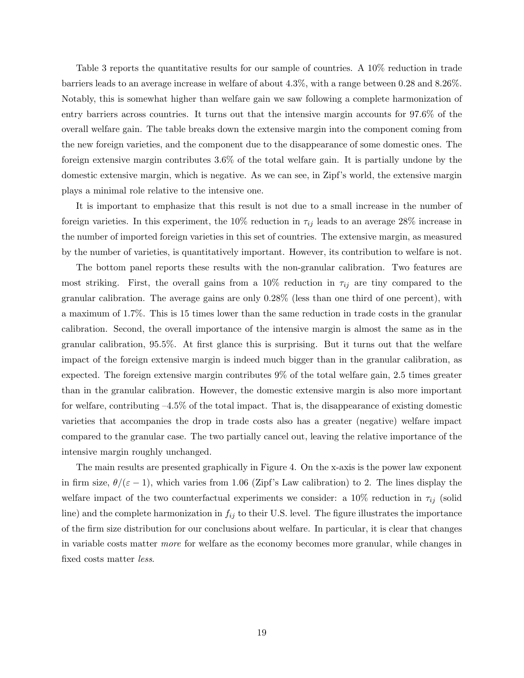Table 3 reports the quantitative results for our sample of countries. A 10% reduction in trade barriers leads to an average increase in welfare of about 4.3%, with a range between 0.28 and 8.26%. Notably, this is somewhat higher than welfare gain we saw following a complete harmonization of entry barriers across countries. It turns out that the intensive margin accounts for 97.6% of the overall welfare gain. The table breaks down the extensive margin into the component coming from the new foreign varieties, and the component due to the disappearance of some domestic ones. The foreign extensive margin contributes 3.6% of the total welfare gain. It is partially undone by the domestic extensive margin, which is negative. As we can see, in Zipf's world, the extensive margin plays a minimal role relative to the intensive one.

It is important to emphasize that this result is not due to a small increase in the number of foreign varieties. In this experiment, the 10% reduction in  $\tau_{ij}$  leads to an average 28% increase in the number of imported foreign varieties in this set of countries. The extensive margin, as measured by the number of varieties, is quantitatively important. However, its contribution to welfare is not.

The bottom panel reports these results with the non-granular calibration. Two features are most striking. First, the overall gains from a 10% reduction in  $\tau_{ij}$  are tiny compared to the granular calibration. The average gains are only 0.28% (less than one third of one percent), with a maximum of 1.7%. This is 15 times lower than the same reduction in trade costs in the granular calibration. Second, the overall importance of the intensive margin is almost the same as in the granular calibration, 95.5%. At first glance this is surprising. But it turns out that the welfare impact of the foreign extensive margin is indeed much bigger than in the granular calibration, as expected. The foreign extensive margin contributes 9% of the total welfare gain, 2.5 times greater than in the granular calibration. However, the domestic extensive margin is also more important for welfare, contributing –4.5% of the total impact. That is, the disappearance of existing domestic varieties that accompanies the drop in trade costs also has a greater (negative) welfare impact compared to the granular case. The two partially cancel out, leaving the relative importance of the intensive margin roughly unchanged.

The main results are presented graphically in Figure 4. On the x-axis is the power law exponent in firm size,  $\theta/(\varepsilon - 1)$ , which varies from 1.06 (Zipf's Law calibration) to 2. The lines display the welfare impact of the two counterfactual experiments we consider: a 10% reduction in  $\tau_{ij}$  (solid line) and the complete harmonization in  $f_{ij}$  to their U.S. level. The figure illustrates the importance of the firm size distribution for our conclusions about welfare. In particular, it is clear that changes in variable costs matter more for welfare as the economy becomes more granular, while changes in fixed costs matter less.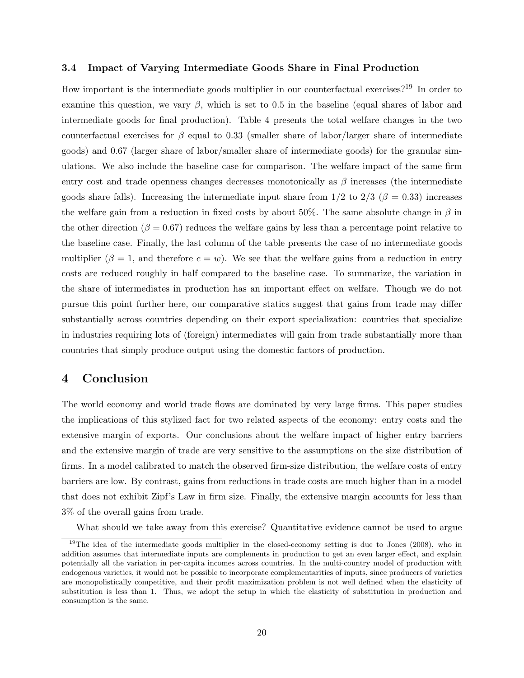### 3.4 Impact of Varying Intermediate Goods Share in Final Production

How important is the intermediate goods multiplier in our counterfactual exercises?<sup>19</sup> In order to examine this question, we vary  $\beta$ , which is set to 0.5 in the baseline (equal shares of labor and intermediate goods for final production). Table 4 presents the total welfare changes in the two counterfactual exercises for  $\beta$  equal to 0.33 (smaller share of labor/larger share of intermediate goods) and 0.67 (larger share of labor/smaller share of intermediate goods) for the granular simulations. We also include the baseline case for comparison. The welfare impact of the same firm entry cost and trade openness changes decreases monotonically as  $\beta$  increases (the intermediate goods share falls). Increasing the intermediate input share from  $1/2$  to  $2/3$  ( $\beta = 0.33$ ) increases the welfare gain from a reduction in fixed costs by about 50%. The same absolute change in  $\beta$  in the other direction ( $\beta = 0.67$ ) reduces the welfare gains by less than a percentage point relative to the baseline case. Finally, the last column of the table presents the case of no intermediate goods multiplier ( $\beta = 1$ , and therefore  $c = w$ ). We see that the welfare gains from a reduction in entry costs are reduced roughly in half compared to the baseline case. To summarize, the variation in the share of intermediates in production has an important effect on welfare. Though we do not pursue this point further here, our comparative statics suggest that gains from trade may differ substantially across countries depending on their export specialization: countries that specialize in industries requiring lots of (foreign) intermediates will gain from trade substantially more than countries that simply produce output using the domestic factors of production.

### 4 Conclusion

The world economy and world trade flows are dominated by very large firms. This paper studies the implications of this stylized fact for two related aspects of the economy: entry costs and the extensive margin of exports. Our conclusions about the welfare impact of higher entry barriers and the extensive margin of trade are very sensitive to the assumptions on the size distribution of firms. In a model calibrated to match the observed firm-size distribution, the welfare costs of entry barriers are low. By contrast, gains from reductions in trade costs are much higher than in a model that does not exhibit Zipf's Law in firm size. Finally, the extensive margin accounts for less than 3% of the overall gains from trade.

What should we take away from this exercise? Quantitative evidence cannot be used to argue

<sup>&</sup>lt;sup>19</sup>The idea of the intermediate goods multiplier in the closed-economy setting is due to Jones (2008), who in addition assumes that intermediate inputs are complements in production to get an even larger effect, and explain potentially all the variation in per-capita incomes across countries. In the multi-country model of production with endogenous varieties, it would not be possible to incorporate complementarities of inputs, since producers of varieties are monopolistically competitive, and their profit maximization problem is not well defined when the elasticity of substitution is less than 1. Thus, we adopt the setup in which the elasticity of substitution in production and consumption is the same.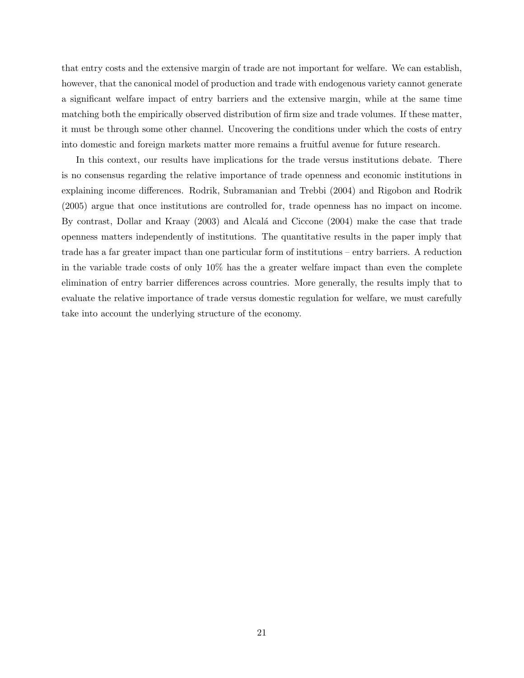that entry costs and the extensive margin of trade are not important for welfare. We can establish, however, that the canonical model of production and trade with endogenous variety cannot generate a significant welfare impact of entry barriers and the extensive margin, while at the same time matching both the empirically observed distribution of firm size and trade volumes. If these matter, it must be through some other channel. Uncovering the conditions under which the costs of entry into domestic and foreign markets matter more remains a fruitful avenue for future research.

In this context, our results have implications for the trade versus institutions debate. There is no consensus regarding the relative importance of trade openness and economic institutions in explaining income differences. Rodrik, Subramanian and Trebbi (2004) and Rigobon and Rodrik (2005) argue that once institutions are controlled for, trade openness has no impact on income. By contrast, Dollar and Kraay (2003) and Alcalá and Ciccone (2004) make the case that trade openness matters independently of institutions. The quantitative results in the paper imply that trade has a far greater impact than one particular form of institutions – entry barriers. A reduction in the variable trade costs of only 10% has the a greater welfare impact than even the complete elimination of entry barrier differences across countries. More generally, the results imply that to evaluate the relative importance of trade versus domestic regulation for welfare, we must carefully take into account the underlying structure of the economy.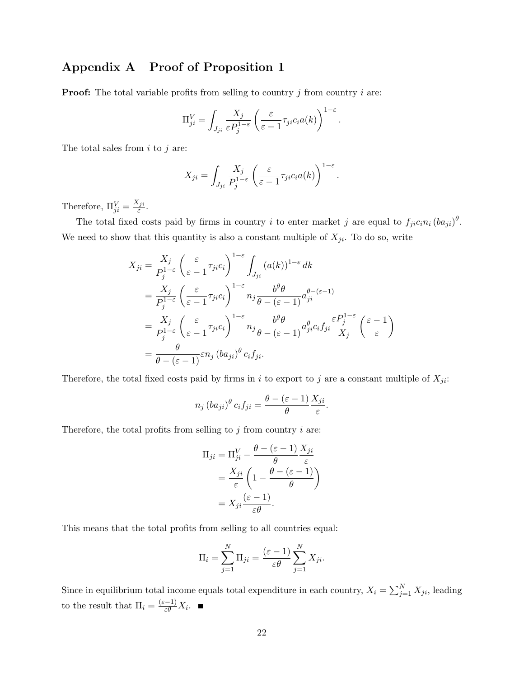## Appendix A Proof of Proposition 1

**Proof:** The total variable profits from selling to country  $j$  from country  $i$  are:

$$
\Pi_{ji}^V = \int_{J_{ji}} \frac{X_j}{\varepsilon P_j^{1-\varepsilon}} \left( \frac{\varepsilon}{\varepsilon - 1} \tau_{ji} c_i a(k) \right)^{1-\varepsilon}
$$

.

The total sales from  $i$  to  $j$  are:

$$
X_{ji} = \int_{J_{ji}} \frac{X_j}{P_j^{1-\varepsilon}} \left( \frac{\varepsilon}{\varepsilon - 1} \tau_{ji} c_i a(k) \right)^{1-\varepsilon}.
$$

Therefore,  $\Pi_{ji}^V = \frac{X_{ji}}{\varepsilon}$  $\frac{e\,ji}{\varepsilon}$  .

The total fixed costs paid by firms in country i to enter market j are equal to  $f_{ji}c_i n_i (ba_{ji})^{\theta}$ . We need to show that this quantity is also a constant multiple of  $X_{ji}$ . To do so, write

$$
X_{ji} = \frac{X_j}{P_j^{1-\varepsilon}} \left(\frac{\varepsilon}{\varepsilon - 1} \tau_{ji} c_i\right)^{1-\varepsilon} \int_{J_{ji}} (a(k))^{1-\varepsilon} dk
$$
  
\n
$$
= \frac{X_j}{P_j^{1-\varepsilon}} \left(\frac{\varepsilon}{\varepsilon - 1} \tau_{ji} c_i\right)^{1-\varepsilon} n_j \frac{b^{\theta} \theta}{\theta - (\varepsilon - 1)} a_{ji}^{\theta - (\varepsilon - 1)}
$$
  
\n
$$
= \frac{X_j}{P_j^{1-\varepsilon}} \left(\frac{\varepsilon}{\varepsilon - 1} \tau_{ji} c_i\right)^{1-\varepsilon} n_j \frac{b^{\theta} \theta}{\theta - (\varepsilon - 1)} a_{ji}^{\theta} c_i f_{ji} \frac{\varepsilon P_j^{1-\varepsilon}}{X_j} \left(\frac{\varepsilon - 1}{\varepsilon}\right)
$$
  
\n
$$
= \frac{\theta}{\theta - (\varepsilon - 1)} \varepsilon n_j \left(b a_{ji}\right)^{\theta} c_i f_{ji}.
$$

Therefore, the total fixed costs paid by firms in i to export to j are a constant multiple of  $X_{ji}$ :

$$
n_j (ba_{ji})^{\theta} c_i f_{ji} = \frac{\theta - (\varepsilon - 1)}{\theta} \frac{X_{ji}}{\varepsilon}.
$$

Therefore, the total profits from selling to  $j$  from country  $i$  are:

$$
\Pi_{ji} = \Pi_{ji}^V - \frac{\theta - (\varepsilon - 1)}{\theta} \frac{X_{ji}}{\varepsilon}
$$

$$
= \frac{X_{ji}}{\varepsilon} \left( 1 - \frac{\theta - (\varepsilon - 1)}{\theta} \right)
$$

$$
= X_{ji} \frac{(\varepsilon - 1)}{\varepsilon \theta}.
$$

This means that the total profits from selling to all countries equal:

$$
\Pi_i = \sum_{j=1}^N \Pi_{ji} = \frac{(\varepsilon - 1)}{\varepsilon \theta} \sum_{j=1}^N X_{ji}.
$$

Since in equilibrium total income equals total expenditure in each country,  $X_i = \sum_{j=1}^{N} X_{ji}$ , leading to the result that  $\Pi_i = \frac{(\varepsilon - 1)}{\varepsilon \theta} X_i$ .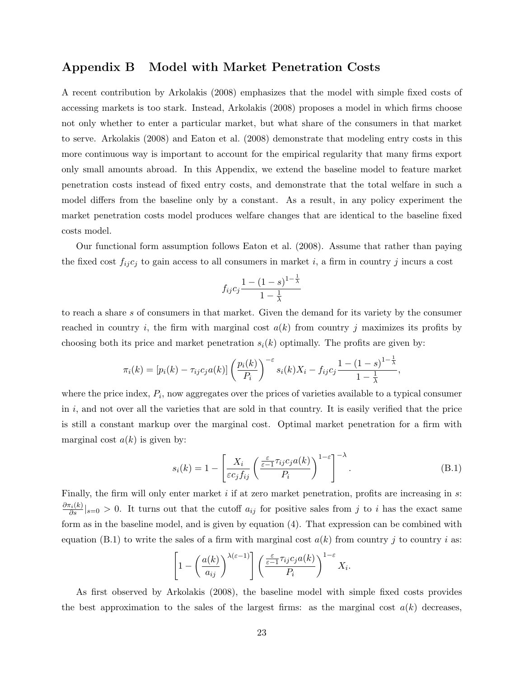### Appendix B Model with Market Penetration Costs

A recent contribution by Arkolakis (2008) emphasizes that the model with simple fixed costs of accessing markets is too stark. Instead, Arkolakis (2008) proposes a model in which firms choose not only whether to enter a particular market, but what share of the consumers in that market to serve. Arkolakis (2008) and Eaton et al. (2008) demonstrate that modeling entry costs in this more continuous way is important to account for the empirical regularity that many firms export only small amounts abroad. In this Appendix, we extend the baseline model to feature market penetration costs instead of fixed entry costs, and demonstrate that the total welfare in such a model differs from the baseline only by a constant. As a result, in any policy experiment the market penetration costs model produces welfare changes that are identical to the baseline fixed costs model.

Our functional form assumption follows Eaton et al. (2008). Assume that rather than paying the fixed cost  $f_{ij}c_j$  to gain access to all consumers in market i, a firm in country j incurs a cost

$$
f_{ij}c_j \frac{1 - (1 - s)^{1 - \frac{1}{\lambda}}}{1 - \frac{1}{\lambda}}
$$

to reach a share s of consumers in that market. Given the demand for its variety by the consumer reached in country i, the firm with marginal cost  $a(k)$  from country j maximizes its profits by choosing both its price and market penetration  $s_i(k)$  optimally. The profits are given by:

$$
\pi_i(k) = [p_i(k) - \tau_{ij}c_j a(k)] \left(\frac{p_i(k)}{P_i}\right)^{-\varepsilon} s_i(k)X_i - f_{ij}c_j \frac{1 - (1 - s)^{1 - \frac{1}{\lambda}}}{1 - \frac{1}{\lambda}}
$$

where the price index,  $P_i$ , now aggregates over the prices of varieties available to a typical consumer in  $i$ , and not over all the varieties that are sold in that country. It is easily verified that the price is still a constant markup over the marginal cost. Optimal market penetration for a firm with marginal cost  $a(k)$  is given by:

$$
s_i(k) = 1 - \left[ \frac{X_i}{\varepsilon c_j f_{ij}} \left( \frac{\frac{\varepsilon}{\varepsilon - 1} \tau_{ij} c_j a(k)}{P_i} \right)^{1 - \varepsilon} \right]^{-\lambda}.
$$
 (B.1)

,

Finally, the firm will only enter market  $i$  if at zero market penetration, profits are increasing in  $s$ :  $\frac{\partial \pi_i(k)}{\partial s}|_{s=0} > 0$ . It turns out that the cutoff  $a_{ij}$  for positive sales from j to i has the exact same form as in the baseline model, and is given by equation (4). That expression can be combined with equation (B.1) to write the sales of a firm with marginal cost  $a(k)$  from country j to country i as:

$$
\left[1-\left(\frac{a(k)}{a_{ij}}\right)^{\lambda(\varepsilon-1)}\right]\left(\frac{\varepsilon}{\varepsilon-1}\tau_{ij}c_ja(k)}{P_i}\right)^{1-\varepsilon}X_i.
$$

As first observed by Arkolakis (2008), the baseline model with simple fixed costs provides the best approximation to the sales of the largest firms: as the marginal cost  $a(k)$  decreases,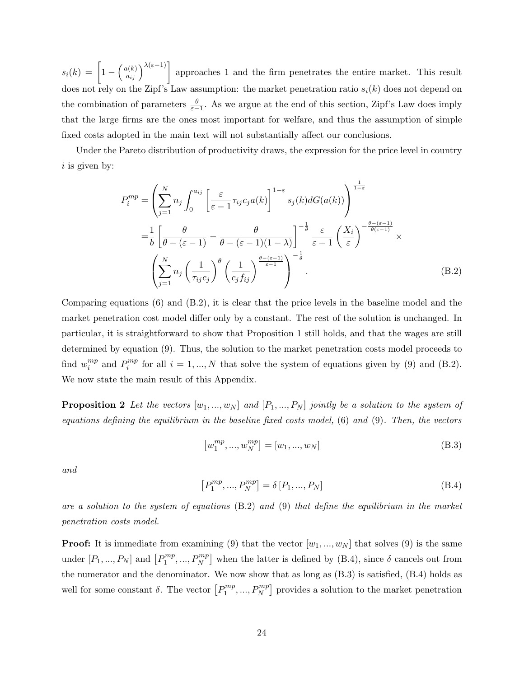$s_i(k) = \left[1 - \left(\frac{a(k)}{a_{ij}}\right)^{\lambda(\varepsilon-1)}\right]$  approaches 1 and the firm penetrates the entire market. This result does not rely on the Zipf's Law assumption: the market penetration ratio  $s_i(k)$  does not depend on the combination of parameters  $\frac{\theta}{\varepsilon-1}$ . As we argue at the end of this section, Zipf's Law does imply that the large firms are the ones most important for welfare, and thus the assumption of simple fixed costs adopted in the main text will not substantially affect our conclusions.

Under the Pareto distribution of productivity draws, the expression for the price level in country  $i$  is given by:

$$
P_i^{mp} = \left(\sum_{j=1}^N n_j \int_0^{a_{ij}} \left[\frac{\varepsilon}{\varepsilon - 1} \tau_{ij} c_j a(k)\right]^{1-\varepsilon} s_j(k) dG(a(k))\right)^{\frac{1}{1-\varepsilon}}
$$
  

$$
= \frac{1}{b} \left[\frac{\theta}{\theta - (\varepsilon - 1)} - \frac{\theta}{\theta - (\varepsilon - 1)(1-\lambda)}\right]^{-\frac{1}{\theta}} \frac{\varepsilon}{\varepsilon - 1} \left(\frac{X_i}{\varepsilon}\right)^{-\frac{\theta - (\varepsilon - 1)}{\theta(\varepsilon - 1)}} \times
$$
  

$$
\left(\sum_{j=1}^N n_j \left(\frac{1}{\tau_{ij} c_j}\right)^{\theta} \left(\frac{1}{c_j f_{ij}}\right)^{\frac{\theta - (\varepsilon - 1)}{\varepsilon - 1}}\right)^{-\frac{1}{\theta}}.
$$
 (B.2)

Comparing equations  $(6)$  and  $(B.2)$ , it is clear that the price levels in the baseline model and the market penetration cost model differ only by a constant. The rest of the solution is unchanged. In particular, it is straightforward to show that Proposition 1 still holds, and that the wages are still determined by equation (9). Thus, the solution to the market penetration costs model proceeds to find  $w_i^{mp}$  $\binom{mp}{i}$  and  $P_i^{mp}$  $i^{mp}$  for all  $i = 1, ..., N$  that solve the system of equations given by (9) and (B.2). We now state the main result of this Appendix.

**Proposition 2** Let the vectors  $[w_1, ..., w_N]$  and  $[P_1, ..., P_N]$  jointly be a solution to the system of equations defining the equilibrium in the baseline fixed costs model, (6) and (9). Then, the vectors

$$
\left[w_1^{mp}, ..., w_N^{mp}\right] = \left[w_1, ..., w_N\right]
$$
\n(B.3)

and

$$
\left[P_1^{mp}, ..., P_N^{mp}\right] = \delta\left[P_1, ..., P_N\right] \tag{B.4}
$$

are a solution to the system of equations (B.2) and (9) that define the equilibrium in the market penetration costs model.

**Proof:** It is immediate from examining (9) that the vector  $[w_1, ..., w_N]$  that solves (9) is the same under  $[P_1, ..., P_N]$  and  $[P_1^{mp}]$  $\{m^m_1, ..., P^{mp}_N\}$  when the latter is defined by (B.4), since  $\delta$  cancels out from the numerator and the denominator. We now show that as long as (B.3) is satisfied, (B.4) holds as well for some constant  $\delta$ . The vector  $[P_1^{mp}]$  $P_1^{mp},..., P_N^{mp}$  provides a solution to the market penetration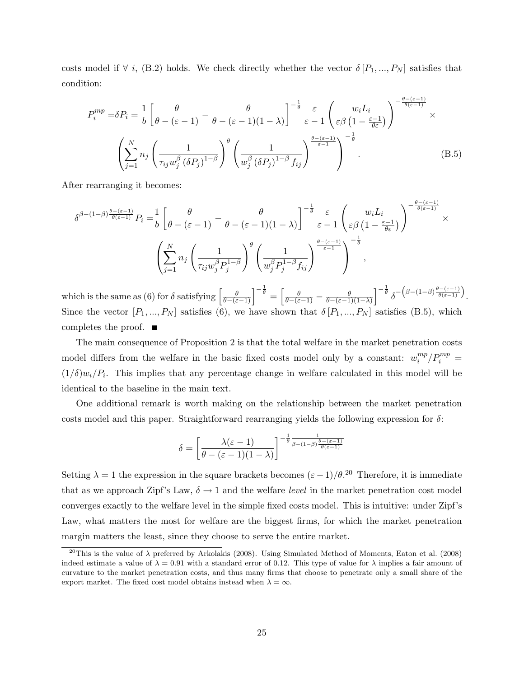costs model if  $\forall i$ , (B.2) holds. We check directly whether the vector  $\delta[P_1, ..., P_N]$  satisfies that condition:

$$
P_i^{mp} = \delta P_i = \frac{1}{b} \left[ \frac{\theta}{\theta - (\varepsilon - 1)} - \frac{\theta}{\theta - (\varepsilon - 1)(1 - \lambda)} \right]^{-\frac{1}{\theta}} \frac{\varepsilon}{\varepsilon - 1} \left( \frac{w_i L_i}{\varepsilon \beta \left( 1 - \frac{\varepsilon - 1}{\theta \varepsilon} \right)} \right)^{-\frac{\theta - (\varepsilon - 1)}{\theta (\varepsilon - 1)}} \times \left( \sum_{j=1}^N n_j \left( \frac{1}{\tau_{ij} w_j^{\beta} \left( \delta P_j \right)^{1 - \beta}} \right)^{\theta} \left( \frac{1}{w_j^{\beta} \left( \delta P_j \right)^{1 - \beta} f_{ij}} \right)^{-\frac{\theta - (\varepsilon - 1)}{\varepsilon - 1}} \right)^{-\frac{1}{\theta}}.
$$
\n(B.5)

After rearranging it becomes:

$$
\delta^{\beta - (1-\beta)\frac{\theta - (\varepsilon - 1)}{\theta(\varepsilon - 1)}} P_i = \frac{1}{b} \left[ \frac{\theta}{\theta - (\varepsilon - 1)} - \frac{\theta}{\theta - (\varepsilon - 1)(1 - \lambda)} \right]^{-\frac{1}{\theta}} \frac{\varepsilon}{\varepsilon - 1} \left( \frac{w_i L_i}{\varepsilon \beta \left( 1 - \frac{\varepsilon - 1}{\theta \varepsilon} \right)} \right)^{-\frac{\theta - (\varepsilon - 1)}{\theta(\varepsilon - 1)}} \times \left( \sum_{j=1}^N n_j \left( \frac{1}{\tau_{ij} w_j^{\beta} P_j^{1 - \beta}} \right)^{\theta} \left( \frac{1}{w_j^{\beta} P_j^{1 - \beta} f_{ij}} \right)^{\frac{\theta - (\varepsilon - 1)}{\varepsilon - 1}} \right)^{-\frac{1}{\theta}},
$$

which is the same as (6) for  $\delta$  satisfying  $\left[\frac{\theta}{\theta-(\varepsilon-1)}\right]^{-\frac{1}{\theta}} = \left[\frac{\theta}{\theta-(\varepsilon-1)} - \frac{\theta}{\theta-(\varepsilon-1)}\right]$  $\frac{\theta}{\theta-(\varepsilon-1)(1-\lambda)}\Big]^{-\frac{1}{\theta}}\delta^{-\left(\beta-(1-\beta)\frac{\theta-(\varepsilon-1)}{\theta(\varepsilon-1)}\right)}.$ Since the vector  $[P_1, ..., P_N]$  satisfies (6), we have shown that  $\delta[P_1, ..., P_N]$  satisfies (B.5), which completes the proof.  $\blacksquare$ 

The main consequence of Proposition 2 is that the total welfare in the market penetration costs model differs from the welfare in the basic fixed costs model only by a constant:  $w_i^{mp}$  $\binom{mp}{i} P_i^{mp} =$  $(1/\delta)w_i/P_i$ . This implies that any percentage change in welfare calculated in this model will be identical to the baseline in the main text.

One additional remark is worth making on the relationship between the market penetration costs model and this paper. Straightforward rearranging yields the following expression for  $\delta$ :

$$
\delta = \left[ \frac{\lambda(\varepsilon - 1)}{\theta - (\varepsilon - 1)(1 - \lambda)} \right]^{-\frac{1}{\theta} \frac{1}{\beta - (1 - \beta) \frac{\theta - (\varepsilon - 1)}{\theta(\varepsilon - 1)}}}
$$

Setting  $\lambda = 1$  the expression in the square brackets becomes  $(\varepsilon - 1)/\theta$ .<sup>20</sup> Therefore, it is immediate that as we approach Zipf's Law,  $\delta \rightarrow 1$  and the welfare *level* in the market penetration cost model converges exactly to the welfare level in the simple fixed costs model. This is intuitive: under Zipf's Law, what matters the most for welfare are the biggest firms, for which the market penetration margin matters the least, since they choose to serve the entire market.

<sup>&</sup>lt;sup>20</sup>This is the value of  $\lambda$  preferred by Arkolakis (2008). Using Simulated Method of Moments, Eaton et al. (2008) indeed estimate a value of  $\lambda = 0.91$  with a standard error of 0.12. This type of value for  $\lambda$  implies a fair amount of curvature to the market penetration costs, and thus many firms that choose to penetrate only a small share of the export market. The fixed cost model obtains instead when  $\lambda = \infty$ .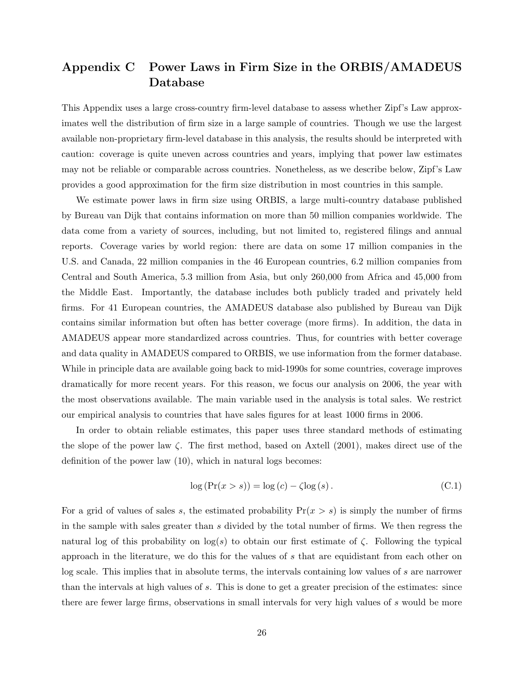# Appendix C Power Laws in Firm Size in the ORBIS/AMADEUS Database

This Appendix uses a large cross-country firm-level database to assess whether Zipf's Law approximates well the distribution of firm size in a large sample of countries. Though we use the largest available non-proprietary firm-level database in this analysis, the results should be interpreted with caution: coverage is quite uneven across countries and years, implying that power law estimates may not be reliable or comparable across countries. Nonetheless, as we describe below, Zipf's Law provides a good approximation for the firm size distribution in most countries in this sample.

We estimate power laws in firm size using ORBIS, a large multi-country database published by Bureau van Dijk that contains information on more than 50 million companies worldwide. The data come from a variety of sources, including, but not limited to, registered filings and annual reports. Coverage varies by world region: there are data on some 17 million companies in the U.S. and Canada, 22 million companies in the 46 European countries, 6.2 million companies from Central and South America, 5.3 million from Asia, but only 260,000 from Africa and 45,000 from the Middle East. Importantly, the database includes both publicly traded and privately held firms. For 41 European countries, the AMADEUS database also published by Bureau van Dijk contains similar information but often has better coverage (more firms). In addition, the data in AMADEUS appear more standardized across countries. Thus, for countries with better coverage and data quality in AMADEUS compared to ORBIS, we use information from the former database. While in principle data are available going back to mid-1990s for some countries, coverage improves dramatically for more recent years. For this reason, we focus our analysis on 2006, the year with the most observations available. The main variable used in the analysis is total sales. We restrict our empirical analysis to countries that have sales figures for at least 1000 firms in 2006.

In order to obtain reliable estimates, this paper uses three standard methods of estimating the slope of the power law  $\zeta$ . The first method, based on Axtell (2001), makes direct use of the definition of the power law (10), which in natural logs becomes:

$$
\log\left(\Pr(x > s)\right) = \log\left(c\right) - \zeta \log\left(s\right). \tag{C.1}
$$

For a grid of values of sales s, the estimated probability  $Pr(x > s)$  is simply the number of firms in the sample with sales greater than s divided by the total number of firms. We then regress the natural log of this probability on  $log(s)$  to obtain our first estimate of  $\zeta$ . Following the typical approach in the literature, we do this for the values of s that are equidistant from each other on log scale. This implies that in absolute terms, the intervals containing low values of s are narrower than the intervals at high values of s. This is done to get a greater precision of the estimates: since there are fewer large firms, observations in small intervals for very high values of s would be more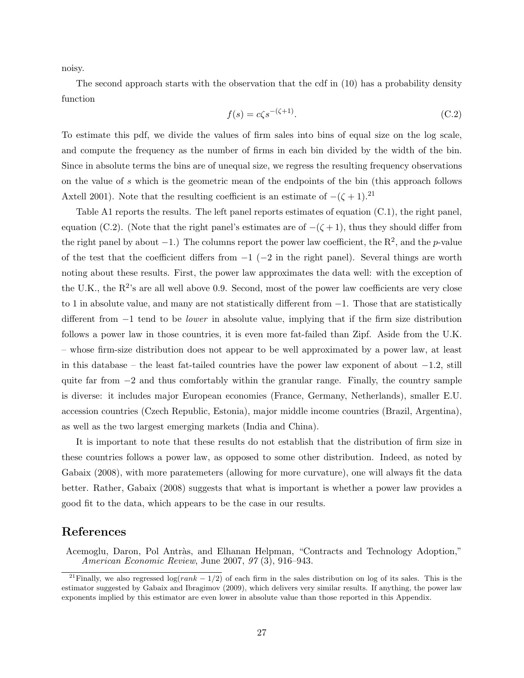noisy.

The second approach starts with the observation that the cdf in (10) has a probability density function

$$
f(s) = c\zeta s^{-(\zeta+1)}.\tag{C.2}
$$

To estimate this pdf, we divide the values of firm sales into bins of equal size on the log scale, and compute the frequency as the number of firms in each bin divided by the width of the bin. Since in absolute terms the bins are of unequal size, we regress the resulting frequency observations on the value of s which is the geometric mean of the endpoints of the bin (this approach follows Axtell 2001). Note that the resulting coefficient is an estimate of  $-(\zeta + 1)^{21}$ 

Table A1 reports the results. The left panel reports estimates of equation  $(C.1)$ , the right panel, equation (C.2). (Note that the right panel's estimates are of  $-(\zeta + 1)$ , thus they should differ from the right panel by about  $-1$ .) The columns report the power law coefficient, the  $\mathbb{R}^2$ , and the p-value of the test that the coefficient differs from  $-1$  ( $-2$  in the right panel). Several things are worth noting about these results. First, the power law approximates the data well: with the exception of the U.K., the  $R^2$ 's are all well above 0.9. Second, most of the power law coefficients are very close to 1 in absolute value, and many are not statistically different from −1. Those that are statistically different from −1 tend to be lower in absolute value, implying that if the firm size distribution follows a power law in those countries, it is even more fat-failed than Zipf. Aside from the U.K. – whose firm-size distribution does not appear to be well approximated by a power law, at least in this database – the least fat-tailed countries have the power law exponent of about −1.2, still quite far from −2 and thus comfortably within the granular range. Finally, the country sample is diverse: it includes major European economies (France, Germany, Netherlands), smaller E.U. accession countries (Czech Republic, Estonia), major middle income countries (Brazil, Argentina), as well as the two largest emerging markets (India and China).

It is important to note that these results do not establish that the distribution of firm size in these countries follows a power law, as opposed to some other distribution. Indeed, as noted by Gabaix (2008), with more paratemeters (allowing for more curvature), one will always fit the data better. Rather, Gabaix (2008) suggests that what is important is whether a power law provides a good fit to the data, which appears to be the case in our results.

### References

Acemoglu, Daron, Pol Antràs, and Elhanan Helpman, "Contracts and Technology Adoption," American Economic Review, June 2007, 97 (3), 916–943.

<sup>&</sup>lt;sup>21</sup>Finally, we also regressed log( $rank - 1/2$ ) of each firm in the sales distribution on log of its sales. This is the estimator suggested by Gabaix and Ibragimov (2009), which delivers very similar results. If anything, the power law exponents implied by this estimator are even lower in absolute value than those reported in this Appendix.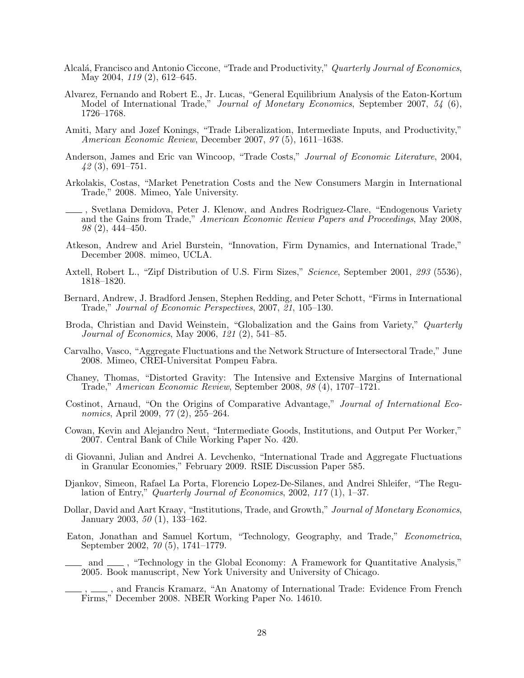- Alcalá, Francisco and Antonio Ciccone, "Trade and Productivity," Quarterly Journal of Economics, May 2004, 119 (2), 612–645.
- Alvarez, Fernando and Robert E., Jr. Lucas, "General Equilibrium Analysis of the Eaton-Kortum Model of International Trade," Journal of Monetary Economics, September 2007, 54 (6), 1726–1768.
- Amiti, Mary and Jozef Konings, "Trade Liberalization, Intermediate Inputs, and Productivity," American Economic Review, December 2007, 97 (5), 1611–1638.
- Anderson, James and Eric van Wincoop, "Trade Costs," Journal of Economic Literature, 2004, 42 (3), 691–751.
- Arkolakis, Costas, "Market Penetration Costs and the New Consumers Margin in International Trade," 2008. Mimeo, Yale University.
- , Svetlana Demidova, Peter J. Klenow, and Andres Rodriguez-Clare, "Endogenous Variety and the Gains from Trade," American Economic Review Papers and Proceedings, May 2008, 98 (2), 444–450.
- Atkeson, Andrew and Ariel Burstein, "Innovation, Firm Dynamics, and International Trade," December 2008. mimeo, UCLA.
- Axtell, Robert L., "Zipf Distribution of U.S. Firm Sizes," Science, September 2001, 293 (5536), 1818–1820.
- Bernard, Andrew, J. Bradford Jensen, Stephen Redding, and Peter Schott, "Firms in International Trade," Journal of Economic Perspectives, 2007, 21, 105–130.
- Broda, Christian and David Weinstein, "Globalization and the Gains from Variety," Quarterly Journal of Economics, May 2006, 121 (2), 541–85.
- Carvalho, Vasco, "Aggregate Fluctuations and the Network Structure of Intersectoral Trade," June 2008. Mimeo, CREI-Universitat Pompeu Fabra.
- Chaney, Thomas, "Distorted Gravity: The Intensive and Extensive Margins of International Trade," American Economic Review, September 2008, 98 (4), 1707–1721.
- Costinot, Arnaud, "On the Origins of Comparative Advantage," Journal of International Economics, April 2009, 77 (2), 255–264.
- Cowan, Kevin and Alejandro Neut, "Intermediate Goods, Institutions, and Output Per Worker," 2007. Central Bank of Chile Working Paper No. 420.
- di Giovanni, Julian and Andrei A. Levchenko, "International Trade and Aggregate Fluctuations in Granular Economies," February 2009. RSIE Discussion Paper 585.
- Djankov, Simeon, Rafael La Porta, Florencio Lopez-De-Silanes, and Andrei Shleifer, "The Regulation of Entry," Quarterly Journal of Economics, 2002,  $117(1)$ , 1–37.
- Dollar, David and Aart Kraay, "Institutions, Trade, and Growth," Journal of Monetary Economics, January 2003, 50 (1), 133–162.
- Eaton, Jonathan and Samuel Kortum, "Technology, Geography, and Trade," Econometrica, September 2002, 70 (5), 1741–1779.
- and  $\mu$ , "Technology in the Global Economy: A Framework for Quantitative Analysis," 2005. Book manuscript, New York University and University of Chicago.
- ., and Francis Kramarz, "An Anatomy of International Trade: Evidence From French Firms," December 2008. NBER Working Paper No. 14610.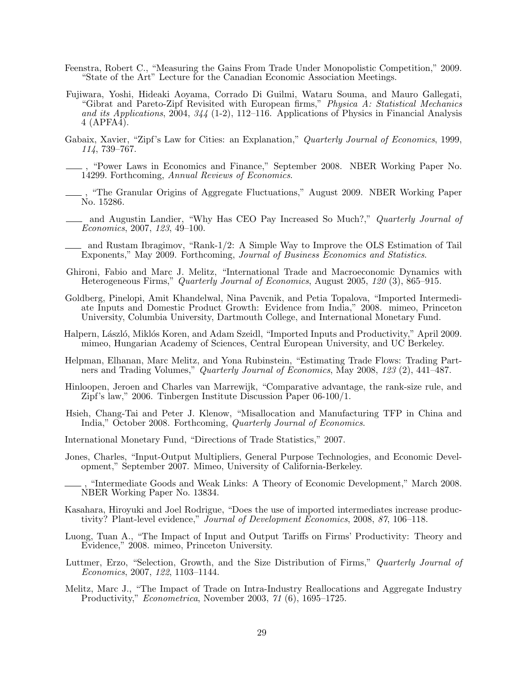- Feenstra, Robert C., "Measuring the Gains From Trade Under Monopolistic Competition," 2009. "State of the Art" Lecture for the Canadian Economic Association Meetings.
- Fujiwara, Yoshi, Hideaki Aoyama, Corrado Di Guilmi, Wataru Souma, and Mauro Gallegati, "Gibrat and Pareto-Zipf Revisited with European firms," Physica A: Statistical Mechanics and its Applications,  $2004$ ,  $344$  (1-2), 112–116. Applications of Physics in Financial Analysis 4 (APFA4).
- Gabaix, Xavier, "Zipf's Law for Cities: an Explanation," Quarterly Journal of Economics, 1999, 114, 739–767.
	- , "Power Laws in Economics and Finance," September 2008. NBER Working Paper No. 14299. Forthcoming, Annual Reviews of Economics.
	- , "The Granular Origins of Aggregate Fluctuations," August 2009. NBER Working Paper No. 15286.
- and Augustin Landier, "Why Has CEO Pay Increased So Much?," Quarterly Journal of Economics, 2007, 123, 49–100.
- and Rustam Ibragimov, "Rank-1/2: A Simple Way to Improve the OLS Estimation of Tail Exponents," May 2009. Forthcoming, Journal of Business Economics and Statistics.
- Ghironi, Fabio and Marc J. Melitz, "International Trade and Macroeconomic Dynamics with Heterogeneous Firms," Quarterly Journal of Economics, August 2005, 120 (3), 865–915.
- Goldberg, Pinelopi, Amit Khandelwal, Nina Pavcnik, and Petia Topalova, "Imported Intermediate Inputs and Domestic Product Growth: Evidence from India," 2008. mimeo, Princeton University, Columbia University, Dartmouth College, and International Monetary Fund.
- Halpern, László, Miklós Koren, and Adam Szeidl, "Imported Inputs and Productivity," April 2009. mimeo, Hungarian Academy of Sciences, Central European University, and UC Berkeley.
- Helpman, Elhanan, Marc Melitz, and Yona Rubinstein, "Estimating Trade Flows: Trading Partners and Trading Volumes," Quarterly Journal of Economics, May 2008, 123 (2), 441–487.
- Hinloopen, Jeroen and Charles van Marrewijk, "Comparative advantage, the rank-size rule, and Zipf's law," 2006. Tinbergen Institute Discussion Paper 06-100/1.
- Hsieh, Chang-Tai and Peter J. Klenow, "Misallocation and Manufacturing TFP in China and India," October 2008. Forthcoming, Quarterly Journal of Economics.
- International Monetary Fund, "Directions of Trade Statistics," 2007.
- Jones, Charles, "Input-Output Multipliers, General Purpose Technologies, and Economic Development," September 2007. Mimeo, University of California-Berkeley.
- , "Intermediate Goods and Weak Links: A Theory of Economic Development," March 2008. NBER Working Paper No. 13834.
- Kasahara, Hiroyuki and Joel Rodrigue, "Does the use of imported intermediates increase productivity? Plant-level evidence," Journal of Development Economics, 2008, 87, 106–118.
- Luong, Tuan A., "The Impact of Input and Output Tariffs on Firms' Productivity: Theory and Evidence," 2008. mimeo, Princeton University.
- Luttmer, Erzo, "Selection, Growth, and the Size Distribution of Firms," Quarterly Journal of Economics, 2007, 122, 1103–1144.
- Melitz, Marc J., "The Impact of Trade on Intra-Industry Reallocations and Aggregate Industry Productivity," Econometrica, November 2003, 71 (6), 1695–1725.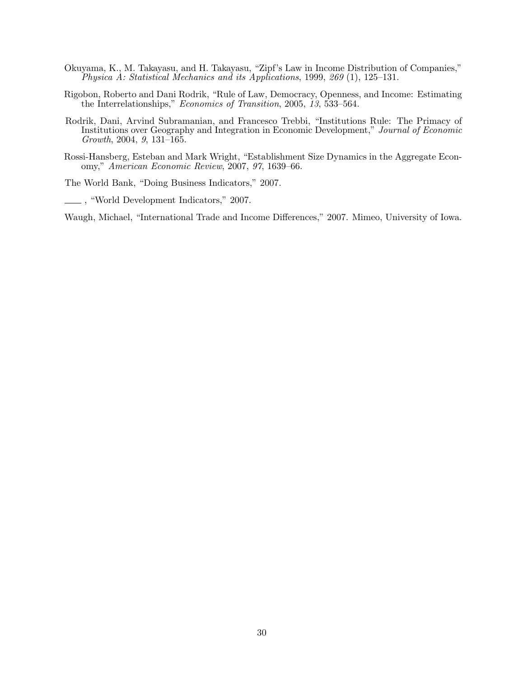- Okuyama, K., M. Takayasu, and H. Takayasu, "Zipf's Law in Income Distribution of Companies," Physica A: Statistical Mechanics and its Applications, 1999, 269 (1), 125–131.
- Rigobon, Roberto and Dani Rodrik, "Rule of Law, Democracy, Openness, and Income: Estimating the Interrelationships," *Economics of Transition*, 2005, 13, 533–564.
- Rodrik, Dani, Arvind Subramanian, and Francesco Trebbi, "Institutions Rule: The Primacy of Institutions over Geography and Integration in Economic Development," Journal of Economic Growth, 2004, 9, 131–165.
- Rossi-Hansberg, Esteban and Mark Wright, "Establishment Size Dynamics in the Aggregate Economy," American Economic Review, 2007, 97, 1639–66.

The World Bank, "Doing Business Indicators," 2007.

, "World Development Indicators," 2007.

Waugh, Michael, "International Trade and Income Differences," 2007. Mimeo, University of Iowa.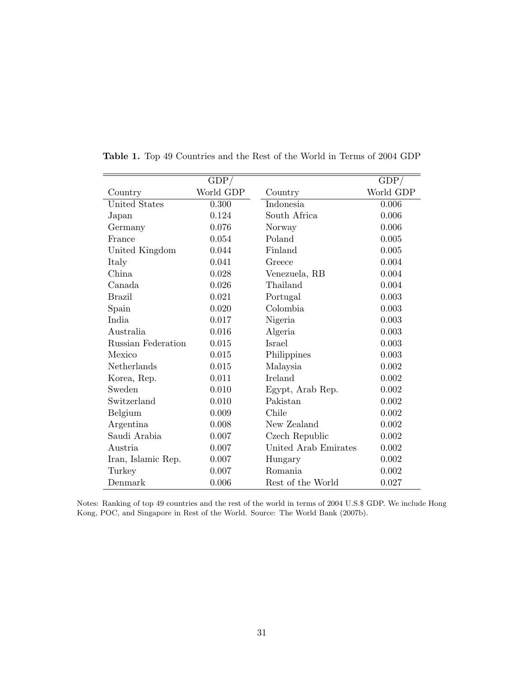|                    | GDP/      |                      | GDP/      |
|--------------------|-----------|----------------------|-----------|
| Country            | World GDP | Country              | World GDP |
| United States      | 0.300     | Indonesia            | 0.006     |
| Japan              | 0.124     | South Africa         | 0.006     |
| Germany            | 0.076     | Norway               | 0.006     |
| France             | 0.054     | Poland               | 0.005     |
| United Kingdom     | 0.044     | Finland              | 0.005     |
| Italy              | 0.041     | Greece               | 0.004     |
| China              | 0.028     | Venezuela, RB        | 0.004     |
| Canada             | 0.026     | Thailand             | 0.004     |
| <b>Brazil</b>      | 0.021     | Portugal             | 0.003     |
| Spain              | 0.020     | Colombia             | 0.003     |
| India              | 0.017     | Nigeria              | 0.003     |
| Australia          | 0.016     | Algeria              | 0.003     |
| Russian Federation | 0.015     | Israel               | 0.003     |
| Mexico             | 0.015     | Philippines          | 0.003     |
| Netherlands        | 0.015     | Malaysia             | 0.002     |
| Korea, Rep.        | 0.011     | Ireland              | 0.002     |
| Sweden             | 0.010     | Egypt, Arab Rep.     | 0.002     |
| Switzerland        | 0.010     | Pakistan             | 0.002     |
| Belgium            | 0.009     | Chile                | 0.002     |
| Argentina          | 0.008     | New Zealand          | 0.002     |
| Saudi Arabia       | 0.007     | Czech Republic       | 0.002     |
| Austria            | 0.007     | United Arab Emirates | 0.002     |
| Iran, Islamic Rep. | 0.007     | Hungary              | 0.002     |
| Turkey             | 0.007     | Romania              | 0.002     |
| Denmark            | 0.006     | Rest of the World    | 0.027     |

Table 1. Top 49 Countries and the Rest of the World in Terms of 2004 GDP

Notes: Ranking of top 49 countries and the rest of the world in terms of 2004 U.S.\$ GDP. We include Hong Kong, POC, and Singapore in Rest of the World. Source: The World Bank (2007b).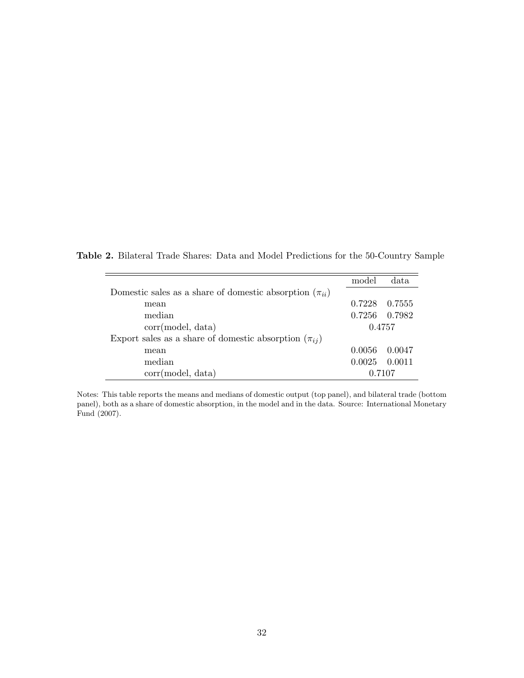Table 2. Bilateral Trade Shares: Data and Model Predictions for the 50-Country Sample

|                                                               | model  | data   |
|---------------------------------------------------------------|--------|--------|
| Domestic sales as a share of domestic absorption $(\pi_{ii})$ |        |        |
| mean                                                          | 0.7228 | 0.7555 |
| median                                                        | 0.7256 | 0.7982 |
| corr(model, data)                                             | 0.4757 |        |
| Export sales as a share of domestic absorption $(\pi_{ii})$   |        |        |
| mean                                                          | 0.0056 | 0.0047 |
| median                                                        | 0.0025 | 0.0011 |
| corr(model, data)                                             | 0.7107 |        |

Notes: This table reports the means and medians of domestic output (top panel), and bilateral trade (bottom panel), both as a share of domestic absorption, in the model and in the data. Source: International Monetary Fund (2007).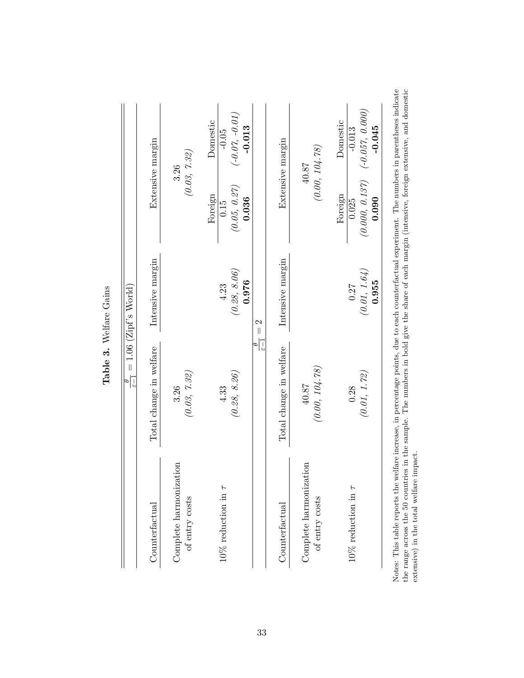|                                                                                                                                              |                         | $\frac{v}{e-1} = 1.06$ (Zipf's World) |                                                                                                     |
|----------------------------------------------------------------------------------------------------------------------------------------------|-------------------------|---------------------------------------|-----------------------------------------------------------------------------------------------------|
| $\rm Counterfactual$                                                                                                                         | Total change in welfare | Intensive margin                      | Extensive margin                                                                                    |
| Complete harmonization<br>of entry costs                                                                                                     | (0.03, 7.32)<br>3.26    |                                       | (0.03, 7.32)<br>3.26                                                                                |
| $10\%$ reduction in $\tau$                                                                                                                   | (0.28, 8.26)<br>4.33    | (0.28, 8.06)<br>0.976<br>4.23         | $(-0.07, -0.01)$<br>Domestic<br>$-0.013$<br>$-0.05$<br>(0.05, 0.27)<br>Foreign<br>0.036<br>0.15     |
|                                                                                                                                              |                         | $\frac{6}{\sqrt{5}-1} = 2$            |                                                                                                     |
| $\rm Counterfactual$                                                                                                                         | Total change in welfare | Intensive margin                      | Extensive margin                                                                                    |
| Complete harmonization<br>of entry costs                                                                                                     | (0.00, 104.78)<br>40.87 |                                       | (0.00, 104.78)<br>$40.87$                                                                           |
| $10\%$ reduction in $\tau$                                                                                                                   | (0.01, 1.72)<br>0.28    | (0.01, 1.64)<br>0.955<br>0.27         | $(0.000, 0.137)$ $(-0.057, 0.000)$<br>Domestic<br>$-0.045$<br>$-0.013$<br>Foreign<br>0.090<br>0.025 |
| tes: This table reports the welfare increase, in percentage points, due to each counterfactual experiment. The numbers in parentheses indica |                         |                                       |                                                                                                     |

Notes: This table reports the welfare increase, in percentage points, due to each counterfactual experiment. The numbers in parentheses indicate<br>the range across the 50 countries in the sample. The numbers in bold give the Notes: This table reports the welfare increase, in percentage points, due to each counterfactual experiment. The numbers in parentheses indicate the range across the 50 countries in the sample. The numbers in bold give the share of each margin (intensive, foreign extensive, and domestic

extensive) in the total welfare impact.

Table 3. Welfare Gains Table 3. Welfare Gains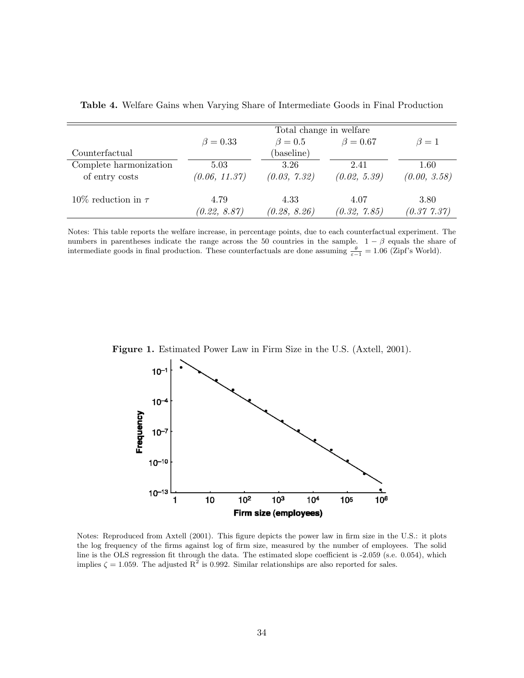|                          | Total change in welfare |               |                |              |  |
|--------------------------|-------------------------|---------------|----------------|--------------|--|
|                          | $\beta = 0.33$          | $\beta = 0.5$ | $\beta = 0.67$ | $\beta = 1$  |  |
| Counterfactual           |                         | (baseline)    |                |              |  |
| Complete harmonization   | 5.03                    | 3.26          | 2.41           | 1.60         |  |
| of entry costs           | (0.06, 11.37)           | (0.03, 7.32)  | (0.02, 5.39)   | (0.00, 3.58) |  |
| 10\% reduction in $\tau$ | 4.79                    | 4.33          | 4.07           | 3.80         |  |
|                          | (0.22, 8.87)            | (0.28, 8.26)  | (0.32, 7.85)   | (0.37, 7.37) |  |

Table 4. Welfare Gains when Varying Share of Intermediate Goods in Final Production

Notes: This table reports the welfare increase, in percentage points, due to each counterfactual experiment. The numbers in parentheses indicate the range across the 50 countries in the sample.  $1 - \beta$  equals the share of intermediate goods in final production. These counterfactuals are done assuming  $\frac{\theta}{\varepsilon-1} = 1.06$  (Zipf's World).



Figure 1. Estimated Power Law in Firm Size in the U.S. (Axtell, 2001).

Notes: Reproduced from Axtell (2001). This figure depicts the power law in firm size in the U.S.: it plots the log frequency of the firms against log of firm size, measured by the number of employees. The solid line is the OLS regression fit through the data. The estimated slope coefficient is -2.059 (s.e. 0.054), which implies  $\zeta = 1.059$ . The adjusted  $R^2$  is 0.992. Similar relationships are also reported for sales.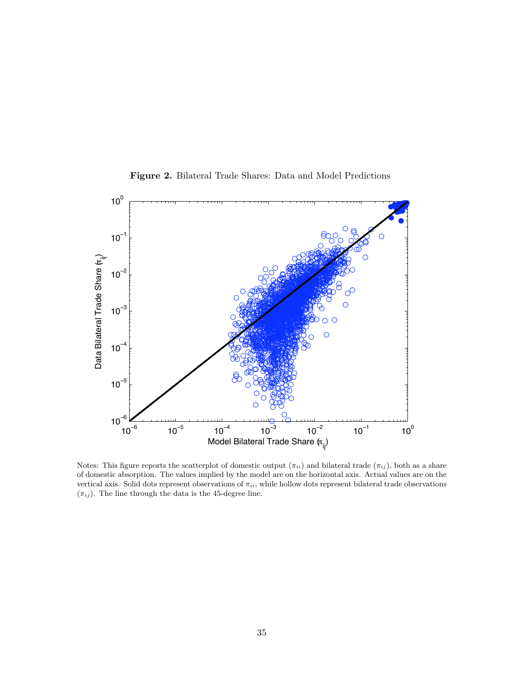

Figure 2. Bilateral Trade Shares: Data and Model Predictions

Notes: This figure reports the scatterplot of domestic output  $(\pi_{ii})$  and bilateral trade  $(\pi_{ij})$ , both as a share of domestic absorption. The values implied by the model are on the horizontal axis. Actual values are on the vertical axis. Solid dots represent observations of  $\pi_{ii}$ , while hollow dots represent bilateral trade observations  $(\pi_{ij} ).$  The line through the data is the 45-degree line.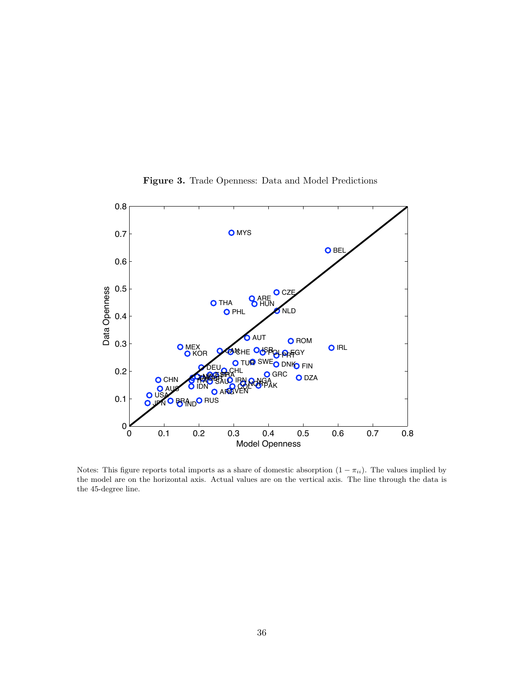

Figure 3. Trade Openness: Data and Model Predictions

Notes: This figure reports total imports as a share of domestic absorption  $(1 - \pi_{ii})$ . The values implied by the model are on the horizontal axis. Actual values are on the vertical axis. The line through the data is the 45-degree line.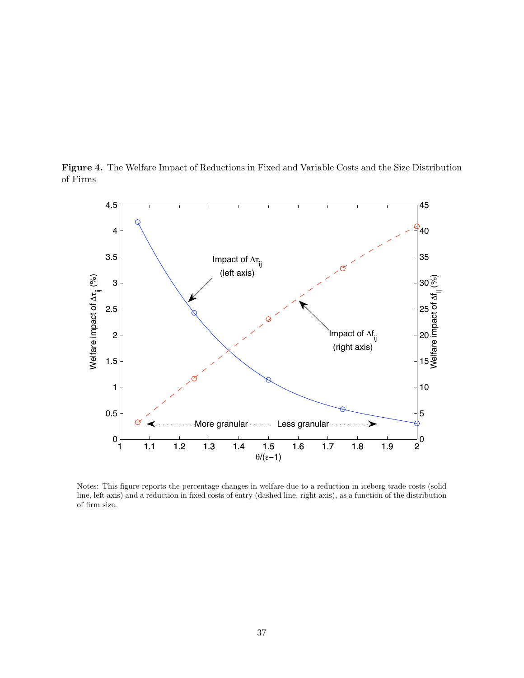



Notes: This figure reports the percentage changes in welfare due to a reduction in iceberg trade costs (solid line, left axis) and a reduction in fixed costs of entry (dashed line, right axis), as a function of the distribution of firm size.